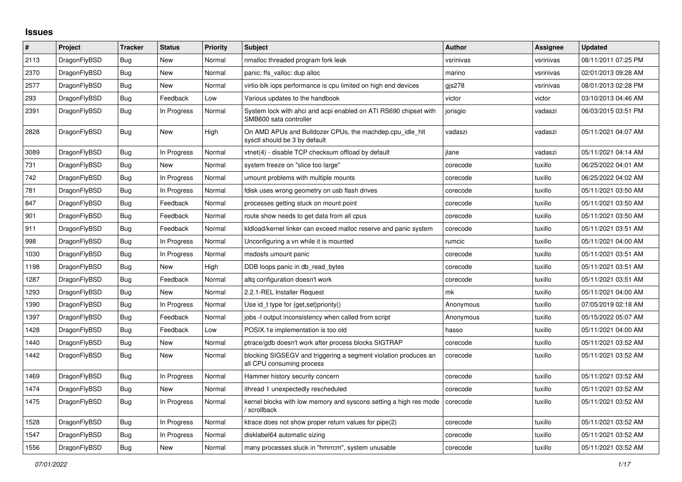## **Issues**

| $\vert$ # | Project      | Tracker    | <b>Status</b> | <b>Priority</b> | <b>Subject</b>                                                                               | <b>Author</b> | Assignee  | <b>Updated</b>      |
|-----------|--------------|------------|---------------|-----------------|----------------------------------------------------------------------------------------------|---------------|-----------|---------------------|
| 2113      | DragonFlyBSD | Bug        | New           | Normal          | nmalloc threaded program fork leak                                                           | vsrinivas     | vsrinivas | 08/11/2011 07:25 PM |
| 2370      | DragonFlyBSD | Bug        | <b>New</b>    | Normal          | panic: ffs valloc: dup alloc                                                                 | marino        | vsrinivas | 02/01/2013 09:28 AM |
| 2577      | DragonFlyBSD | Bug        | New           | Normal          | virtio-blk iops performance is cpu limited on high end devices                               | gis278        | vsrinivas | 08/01/2013 02:28 PM |
| 293       | DragonFlyBSD | Bug        | Feedback      | Low             | Various updates to the handbook                                                              | victor        | victor    | 03/10/2013 04:46 AM |
| 2391      | DragonFlyBSD | Bug        | In Progress   | Normal          | System lock with ahci and acpi enabled on ATI RS690 chipset with<br>SMB600 sata controller   | jorisgio      | vadaszi   | 06/03/2015 03:51 PM |
| 2828      | DragonFlyBSD | Bug        | <b>New</b>    | High            | On AMD APUs and Bulldozer CPUs, the machdep.cpu_idle_hlt<br>sysctl should be 3 by default    | vadaszi       | vadaszi   | 05/11/2021 04:07 AM |
| 3089      | DragonFlyBSD | Bug        | In Progress   | Normal          | vtnet(4) - disable TCP checksum offload by default                                           | ilane         | vadaszi   | 05/11/2021 04:14 AM |
| 731       | DragonFlyBSD | Bug        | New           | Normal          | system freeze on "slice too large"                                                           | corecode      | tuxillo   | 06/25/2022 04:01 AM |
| 742       | DragonFlyBSD | <b>Bug</b> | In Progress   | Normal          | umount problems with multiple mounts                                                         | corecode      | tuxillo   | 06/25/2022 04:02 AM |
| 781       | DragonFlyBSD | Bug        | In Progress   | Normal          | fdisk uses wrong geometry on usb flash drives                                                | corecode      | tuxillo   | 05/11/2021 03:50 AM |
| 847       | DragonFlyBSD | <b>Bug</b> | Feedback      | Normal          | processes getting stuck on mount point                                                       | corecode      | tuxillo   | 05/11/2021 03:50 AM |
| 901       | DragonFlyBSD | Bug        | Feedback      | Normal          | route show needs to get data from all cpus                                                   | corecode      | tuxillo   | 05/11/2021 03:50 AM |
| 911       | DragonFlyBSD | <b>Bug</b> | Feedback      | Normal          | kidload/kernel linker can exceed malloc reserve and panic system                             | corecode      | tuxillo   | 05/11/2021 03:51 AM |
| 998       | DragonFlyBSD | Bug        | In Progress   | Normal          | Unconfiguring a vn while it is mounted                                                       | rumcic        | tuxillo   | 05/11/2021 04:00 AM |
| 1030      | DragonFlyBSD | Bug        | In Progress   | Normal          | msdosfs umount panic                                                                         | corecode      | tuxillo   | 05/11/2021 03:51 AM |
| 1198      | DragonFlyBSD | <b>Bug</b> | New           | High            | DDB loops panic in db_read_bytes                                                             | corecode      | tuxillo   | 05/11/2021 03:51 AM |
| 1287      | DragonFlyBSD | Bug        | Feedback      | Normal          | altg configuration doesn't work                                                              | corecode      | tuxillo   | 05/11/2021 03:51 AM |
| 1293      | DragonFlyBSD | Bug        | New           | Normal          | 2.2.1-REL Installer Request                                                                  | mk            | tuxillo   | 05/11/2021 04:00 AM |
| 1390      | DragonFlyBSD | Bug        | In Progress   | Normal          | Use id_t type for {get,set}priority()                                                        | Anonymous     | tuxillo   | 07/05/2019 02:18 AM |
| 1397      | DragonFlyBSD | Bug        | Feedback      | Normal          | jobs -I output inconsistency when called from script                                         | Anonymous     | tuxillo   | 05/15/2022 05:07 AM |
| 1428      | DragonFlyBSD | <b>Bug</b> | Feedback      | Low             | POSIX.1e implementation is too old                                                           | hasso         | tuxillo   | 05/11/2021 04:00 AM |
| 1440      | DragonFlyBSD | Bug        | New           | Normal          | ptrace/gdb doesn't work after process blocks SIGTRAP                                         | corecode      | tuxillo   | 05/11/2021 03:52 AM |
| 1442      | DragonFlyBSD | Bug        | <b>New</b>    | Normal          | blocking SIGSEGV and triggering a segment violation produces an<br>all CPU consuming process | corecode      | tuxillo   | 05/11/2021 03:52 AM |
| 1469      | DragonFlyBSD | Bug        | In Progress   | Normal          | Hammer history security concern                                                              | corecode      | tuxillo   | 05/11/2021 03:52 AM |
| 1474      | DragonFlyBSD | Bug        | New           | Normal          | ithread 1 unexpectedly rescheduled                                                           | corecode      | tuxillo   | 05/11/2021 03:52 AM |
| 1475      | DragonFlyBSD | <b>Bug</b> | In Progress   | Normal          | kernel blocks with low memory and syscons setting a high res mode<br>/ scrollback            | corecode      | tuxillo   | 05/11/2021 03:52 AM |
| 1528      | DragonFlyBSD | <b>Bug</b> | In Progress   | Normal          | ktrace does not show proper return values for pipe(2)                                        | corecode      | tuxillo   | 05/11/2021 03:52 AM |
| 1547      | DragonFlyBSD | <b>Bug</b> | In Progress   | Normal          | disklabel64 automatic sizing                                                                 | corecode      | tuxillo   | 05/11/2021 03:52 AM |
| 1556      | DragonFlyBSD | Bug        | New           | Normal          | many processes stuck in "hmrrcm", system unusable                                            | corecode      | tuxillo   | 05/11/2021 03:52 AM |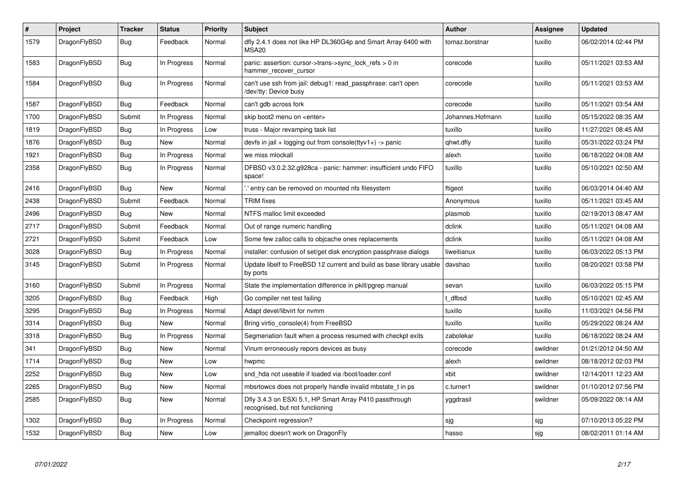| $\vert$ # | Project      | <b>Tracker</b> | <b>Status</b> | <b>Priority</b> | <b>Subject</b>                                                                             | <b>Author</b>    | <b>Assignee</b> | Updated             |
|-----------|--------------|----------------|---------------|-----------------|--------------------------------------------------------------------------------------------|------------------|-----------------|---------------------|
| 1579      | DragonFlyBSD | Bug            | Feedback      | Normal          | dfly 2.4.1 does not like HP DL360G4p and Smart Array 6400 with<br>MSA <sub>20</sub>        | tomaz.borstnar   | tuxillo         | 06/02/2014 02:44 PM |
| 1583      | DragonFlyBSD | Bug            | In Progress   | Normal          | panic: assertion: cursor->trans->sync lock refs $> 0$ in<br>hammer recover cursor          | corecode         | tuxillo         | 05/11/2021 03:53 AM |
| 1584      | DragonFlyBSD | Bug            | In Progress   | Normal          | can't use ssh from jail: debug1: read passphrase: can't open<br>/dev/tty: Device busy      | corecode         | tuxillo         | 05/11/2021 03:53 AM |
| 1587      | DragonFlyBSD | <b>Bug</b>     | Feedback      | Normal          | can't gdb across fork                                                                      | corecode         | tuxillo         | 05/11/2021 03:54 AM |
| 1700      | DragonFlyBSD | Submit         | In Progress   | Normal          | skip boot2 menu on <enter></enter>                                                         | Johannes.Hofmann | tuxillo         | 05/15/2022 08:35 AM |
| 1819      | DragonFlyBSD | <b>Bug</b>     | In Progress   | Low             | truss - Major revamping task list                                                          | tuxillo          | tuxillo         | 11/27/2021 08:45 AM |
| 1876      | DragonFlyBSD | <b>Bug</b>     | <b>New</b>    | Normal          | devfs in jail + logging out from console(ttyv1+) -> panic                                  | qhwt.dfly        | tuxillo         | 05/31/2022 03:24 PM |
| 1921      | DragonFlyBSD | <b>Bug</b>     | In Progress   | Normal          | we miss mlockall                                                                           | alexh            | tuxillo         | 06/18/2022 04:08 AM |
| 2358      | DragonFlyBSD | Bug            | In Progress   | Normal          | DFBSD v3.0.2.32.g928ca - panic: hammer: insufficient undo FIFO<br>space!                   | tuxillo          | tuxillo         | 05/10/2021 02:50 AM |
| 2416      | DragonFlyBSD | Bug            | <b>New</b>    | Normal          | ".' entry can be removed on mounted nfs filesystem                                         | ftigeot          | tuxillo         | 06/03/2014 04:40 AM |
| 2438      | DragonFlyBSD | Submit         | Feedback      | Normal          | <b>TRIM</b> fixes                                                                          | Anonymous        | tuxillo         | 05/11/2021 03:45 AM |
| 2496      | DragonFlyBSD | Bug            | New           | Normal          | NTFS malloc limit exceeded                                                                 | plasmob          | tuxillo         | 02/19/2013 08:47 AM |
| 2717      | DragonFlyBSD | Submit         | Feedback      | Normal          | Out of range numeric handling                                                              | dclink           | tuxillo         | 05/11/2021 04:08 AM |
| 2721      | DragonFlyBSD | Submit         | Feedback      | Low             | Some few zalloc calls to objcache ones replacements                                        | dclink           | tuxillo         | 05/11/2021 04:08 AM |
| 3028      | DragonFlyBSD | <b>Bug</b>     | In Progress   | Normal          | installer: confusion of set/get disk encryption passphrase dialogs                         | liweitianux      | tuxillo         | 06/03/2022 05:13 PM |
| 3145      | DragonFlyBSD | Submit         | In Progress   | Normal          | Update libelf to FreeBSD 12 current and build as base library usable<br>by ports           | davshao          | tuxillo         | 08/20/2021 03:58 PM |
| 3160      | DragonFlyBSD | Submit         | In Progress   | Normal          | State the implementation difference in pkill/pgrep manual                                  | sevan            | tuxillo         | 06/03/2022 05:15 PM |
| 3205      | DragonFlyBSD | Bug            | Feedback      | High            | Go compiler net test failing                                                               | t dfbsd          | tuxillo         | 05/10/2021 02:45 AM |
| 3295      | DragonFlyBSD | <b>Bug</b>     | In Progress   | Normal          | Adapt devel/libvirt for nvmm                                                               | tuxillo          | tuxillo         | 11/03/2021 04:56 PM |
| 3314      | DragonFlyBSD | Bug            | <b>New</b>    | Normal          | Bring virtio console(4) from FreeBSD                                                       | tuxillo          | tuxillo         | 05/29/2022 08:24 AM |
| 3318      | DragonFlyBSD | <b>Bug</b>     | In Progress   | Normal          | Segmenation fault when a process resumed with checkpt exits                                | zabolekar        | tuxillo         | 06/18/2022 08:24 AM |
| 341       | DragonFlyBSD | Bug            | <b>New</b>    | Normal          | Vinum erroneously repors devices as busy                                                   | corecode         | swildner        | 01/21/2012 04:50 AM |
| 1714      | DragonFlyBSD | <b>Bug</b>     | <b>New</b>    | Low             | hwpmc                                                                                      | alexh            | swildner        | 08/18/2012 02:03 PM |
| 2252      | DragonFlyBSD | Bug            | New           | Low             | snd hda not useable if loaded via /boot/loader.conf                                        | xbit             | swildner        | 12/14/2011 12:23 AM |
| 2265      | DragonFlyBSD | Bug            | New           | Normal          | mbsrtowcs does not properly handle invalid mbstate_t in ps                                 | c.turner1        | swildner        | 01/10/2012 07:56 PM |
| 2585      | DragonFlyBSD | Bug            | New           | Normal          | Dfly 3.4.3 on ESXi 5.1, HP Smart Array P410 passthrough<br>recognised, but not functioning | yggdrasil        | swildner        | 05/09/2022 08:14 AM |
| 1302      | DragonFlyBSD | <b>Bug</b>     | In Progress   | Normal          | Checkpoint regression?                                                                     | sjg              | sjg             | 07/10/2013 05:22 PM |
| 1532      | DragonFlyBSD | <b>Bug</b>     | New           | Low             | jemalloc doesn't work on DragonFly                                                         | hasso            | sjg             | 08/02/2011 01:14 AM |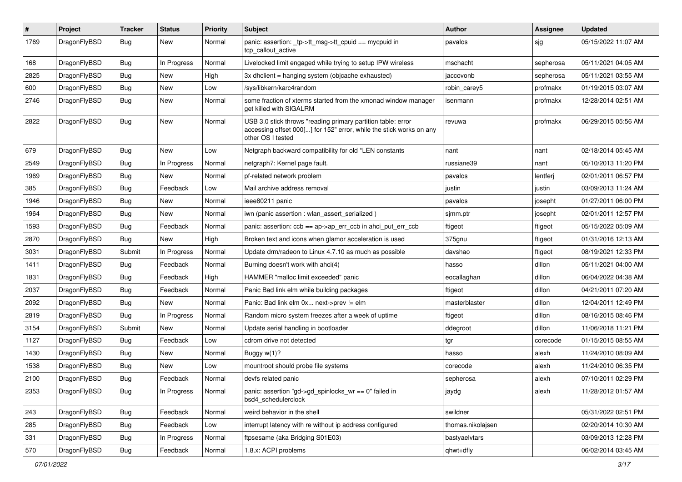| $\sharp$ | Project      | <b>Tracker</b> | <b>Status</b> | <b>Priority</b> | Subject                                                                                                                                                  | <b>Author</b>     | Assignee  | <b>Updated</b>      |
|----------|--------------|----------------|---------------|-----------------|----------------------------------------------------------------------------------------------------------------------------------------------------------|-------------------|-----------|---------------------|
| 1769     | DragonFlyBSD | Bug            | New           | Normal          | panic: assertion: _tp->tt_msg->tt_cpuid == mycpuid in<br>tcp_callout_active                                                                              | pavalos           | sjg       | 05/15/2022 11:07 AM |
| 168      | DragonFlyBSD | Bug            | In Progress   | Normal          | Livelocked limit engaged while trying to setup IPW wireless                                                                                              | mschacht          | sepherosa | 05/11/2021 04:05 AM |
| 2825     | DragonFlyBSD | <b>Bug</b>     | New           | High            | 3x dhclient = hanging system (objcache exhausted)                                                                                                        | jaccovonb         | sepherosa | 05/11/2021 03:55 AM |
| 600      | DragonFlyBSD | Bug            | New           | Low             | /sys/libkern/karc4random                                                                                                                                 | robin_carey5      | profmakx  | 01/19/2015 03:07 AM |
| 2746     | DragonFlyBSD | <b>Bug</b>     | New           | Normal          | some fraction of xterms started from the xmonad window manager<br>get killed with SIGALRM                                                                | isenmann          | profmakx  | 12/28/2014 02:51 AM |
| 2822     | DragonFlyBSD | Bug            | New           | Normal          | USB 3.0 stick throws "reading primary partition table: error<br>accessing offset 000[] for 152" error, while the stick works on any<br>other OS I tested | revuwa            | profmakx  | 06/29/2015 05:56 AM |
| 679      | DragonFlyBSD | Bug            | New           | Low             | Netgraph backward compatibility for old *LEN constants                                                                                                   | nant              | nant      | 02/18/2014 05:45 AM |
| 2549     | DragonFlyBSD | <b>Bug</b>     | In Progress   | Normal          | netgraph7: Kernel page fault.                                                                                                                            | russiane39        | nant      | 05/10/2013 11:20 PM |
| 1969     | DragonFlyBSD | Bug            | New           | Normal          | pf-related network problem                                                                                                                               | pavalos           | lentferj  | 02/01/2011 06:57 PM |
| 385      | DragonFlyBSD | Bug            | Feedback      | Low             | Mail archive address removal                                                                                                                             | justin            | justin    | 03/09/2013 11:24 AM |
| 1946     | DragonFlyBSD | Bug            | <b>New</b>    | Normal          | ieee80211 panic                                                                                                                                          | pavalos           | josepht   | 01/27/2011 06:00 PM |
| 1964     | DragonFlyBSD | Bug            | New           | Normal          | iwn (panic assertion : wlan assert serialized)                                                                                                           | sjmm.ptr          | josepht   | 02/01/2011 12:57 PM |
| 1593     | DragonFlyBSD | Bug            | Feedback      | Normal          | panic: assertion: ccb == ap->ap_err_ccb in ahci_put_err_ccb                                                                                              | ftigeot           | ftigeot   | 05/15/2022 05:09 AM |
| 2870     | DragonFlyBSD | Bug            | New           | High            | Broken text and icons when glamor acceleration is used                                                                                                   | 375gnu            | ftigeot   | 01/31/2016 12:13 AM |
| 3031     | DragonFlyBSD | Submit         | In Progress   | Normal          | Update drm/radeon to Linux 4.7.10 as much as possible                                                                                                    | davshao           | ftigeot   | 08/19/2021 12:33 PM |
| 1411     | DragonFlyBSD | Bug            | Feedback      | Normal          | Burning doesn't work with ahci(4)                                                                                                                        | hasso             | dillon    | 05/11/2021 04:00 AM |
| 1831     | DragonFlyBSD | Bug            | Feedback      | High            | HAMMER "malloc limit exceeded" panic                                                                                                                     | eocallaghan       | dillon    | 06/04/2022 04:38 AM |
| 2037     | DragonFlyBSD | <b>Bug</b>     | Feedback      | Normal          | Panic Bad link elm while building packages                                                                                                               | ftigeot           | dillon    | 04/21/2011 07:20 AM |
| 2092     | DragonFlyBSD | Bug            | <b>New</b>    | Normal          | Panic: Bad link elm 0x next->prev != elm                                                                                                                 | masterblaster     | dillon    | 12/04/2011 12:49 PM |
| 2819     | DragonFlyBSD | Bug            | In Progress   | Normal          | Random micro system freezes after a week of uptime                                                                                                       | ftigeot           | dillon    | 08/16/2015 08:46 PM |
| 3154     | DragonFlyBSD | Submit         | New           | Normal          | Update serial handling in bootloader                                                                                                                     | ddegroot          | dillon    | 11/06/2018 11:21 PM |
| 1127     | DragonFlyBSD | Bug            | Feedback      | Low             | cdrom drive not detected                                                                                                                                 | tgr               | corecode  | 01/15/2015 08:55 AM |
| 1430     | DragonFlyBSD | <b>Bug</b>     | New           | Normal          | Buggy w(1)?                                                                                                                                              | hasso             | alexh     | 11/24/2010 08:09 AM |
| 1538     | DragonFlyBSD | Bug            | New           | Low             | mountroot should probe file systems                                                                                                                      | corecode          | alexh     | 11/24/2010 06:35 PM |
| 2100     | DragonFlyBSD | <b>Bug</b>     | Feedback      | Normal          | devfs related panic                                                                                                                                      | sepherosa         | alexh     | 07/10/2011 02:29 PM |
| 2353     | DragonFlyBSD | <b>Bug</b>     | In Progress   | Normal          | panic: assertion "gd->gd_spinlocks_wr == 0" failed in<br>bsd4 schedulerclock                                                                             | jaydg             | alexh     | 11/28/2012 01:57 AM |
| 243      | DragonFlyBSD | <b>Bug</b>     | Feedback      | Normal          | weird behavior in the shell                                                                                                                              | swildner          |           | 05/31/2022 02:51 PM |
| 285      | DragonFlyBSD | <b>Bug</b>     | Feedback      | Low             | interrupt latency with re without ip address configured                                                                                                  | thomas.nikolajsen |           | 02/20/2014 10:30 AM |
| 331      | DragonFlyBSD | <b>Bug</b>     | In Progress   | Normal          | ftpsesame (aka Bridging S01E03)                                                                                                                          | bastyaelvtars     |           | 03/09/2013 12:28 PM |
| 570      | DragonFlyBSD | <b>Bug</b>     | Feedback      | Normal          | 1.8.x: ACPI problems                                                                                                                                     | qhwt+dfly         |           | 06/02/2014 03:45 AM |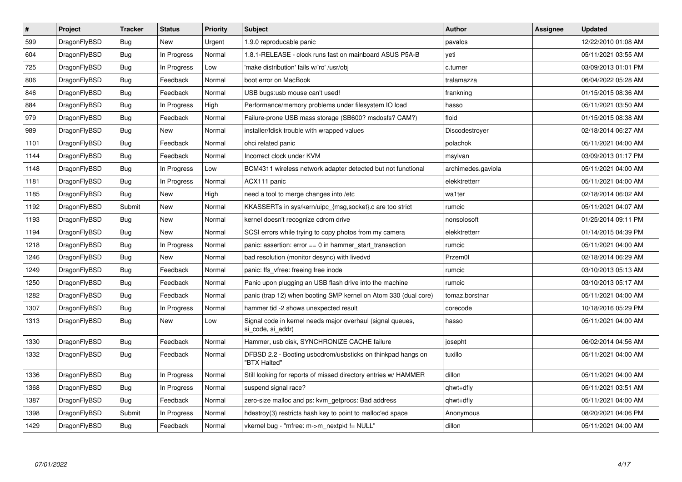| $\pmb{\#}$ | Project      | <b>Tracker</b> | <b>Status</b> | <b>Priority</b> | Subject                                                                         | <b>Author</b>      | Assignee | Updated             |
|------------|--------------|----------------|---------------|-----------------|---------------------------------------------------------------------------------|--------------------|----------|---------------------|
| 599        | DragonFlyBSD | <b>Bug</b>     | <b>New</b>    | Urgent          | 1.9.0 reproducable panic                                                        | pavalos            |          | 12/22/2010 01:08 AM |
| 604        | DragonFlyBSD | Bug            | In Progress   | Normal          | 1.8.1-RELEASE - clock runs fast on mainboard ASUS P5A-B                         | veti               |          | 05/11/2021 03:55 AM |
| 725        | DragonFlyBSD | Bug            | In Progress   | Low             | 'make distribution' fails w/'ro' /usr/obj                                       | c.turner           |          | 03/09/2013 01:01 PM |
| 806        | DragonFlyBSD | Bug            | Feedback      | Normal          | boot error on MacBook                                                           | tralamazza         |          | 06/04/2022 05:28 AM |
| 846        | DragonFlyBSD | Bug            | Feedback      | Normal          | USB bugs:usb mouse can't used!                                                  | frankning          |          | 01/15/2015 08:36 AM |
| 884        | DragonFlyBSD | Bug            | In Progress   | High            | Performance/memory problems under filesystem IO load                            | hasso              |          | 05/11/2021 03:50 AM |
| 979        | DragonFlyBSD | <b>Bug</b>     | Feedback      | Normal          | Failure-prone USB mass storage (SB600? msdosfs? CAM?)                           | floid              |          | 01/15/2015 08:38 AM |
| 989        | DragonFlyBSD | <b>Bug</b>     | <b>New</b>    | Normal          | installer/fdisk trouble with wrapped values                                     | Discodestroyer     |          | 02/18/2014 06:27 AM |
| 1101       | DragonFlyBSD | Bug            | Feedback      | Normal          | ohci related panic                                                              | polachok           |          | 05/11/2021 04:00 AM |
| 1144       | DragonFlyBSD | Bug            | Feedback      | Normal          | Incorrect clock under KVM                                                       | msylvan            |          | 03/09/2013 01:17 PM |
| 1148       | DragonFlyBSD | Bug            | In Progress   | Low             | BCM4311 wireless network adapter detected but not functional                    | archimedes.gaviola |          | 05/11/2021 04:00 AM |
| 1181       | DragonFlyBSD | Bug            | In Progress   | Normal          | ACX111 panic                                                                    | elekktretterr      |          | 05/11/2021 04:00 AM |
| 1185       | DragonFlyBSD | <b>Bug</b>     | <b>New</b>    | High            | need a tool to merge changes into /etc                                          | wa1ter             |          | 02/18/2014 06:02 AM |
| 1192       | DragonFlyBSD | Submit         | <b>New</b>    | Normal          | KKASSERTs in sys/kern/uipc {msg,socket}.c are too strict                        | rumcic             |          | 05/11/2021 04:07 AM |
| 1193       | DragonFlyBSD | Bug            | <b>New</b>    | Normal          | kernel doesn't recognize cdrom drive                                            | nonsolosoft        |          | 01/25/2014 09:11 PM |
| 1194       | DragonFlyBSD | Bug            | New           | Normal          | SCSI errors while trying to copy photos from my camera                          | elekktretterr      |          | 01/14/2015 04:39 PM |
| 1218       | DragonFlyBSD | Bug            | In Progress   | Normal          | panic: assertion: $error == 0$ in hammer start transaction                      | rumcic             |          | 05/11/2021 04:00 AM |
| 1246       | DragonFlyBSD | <b>Bug</b>     | New           | Normal          | bad resolution (monitor desync) with livedvd                                    | Przem0l            |          | 02/18/2014 06:29 AM |
| 1249       | DragonFlyBSD | Bug            | Feedback      | Normal          | panic: ffs_vfree: freeing free inode                                            | rumcic             |          | 03/10/2013 05:13 AM |
| 1250       | DragonFlyBSD | <b>Bug</b>     | Feedback      | Normal          | Panic upon plugging an USB flash drive into the machine                         | rumcic             |          | 03/10/2013 05:17 AM |
| 1282       | DragonFlyBSD | Bug            | Feedback      | Normal          | panic (trap 12) when booting SMP kernel on Atom 330 (dual core)                 | tomaz.borstnar     |          | 05/11/2021 04:00 AM |
| 1307       | DragonFlyBSD | Bug            | In Progress   | Normal          | hammer tid -2 shows unexpected result                                           | corecode           |          | 10/18/2016 05:29 PM |
| 1313       | DragonFlyBSD | Bug            | New           | Low             | Signal code in kernel needs major overhaul (signal queues,<br>si code, si addr) | hasso              |          | 05/11/2021 04:00 AM |
| 1330       | DragonFlyBSD | Bug            | Feedback      | Normal          | Hammer, usb disk, SYNCHRONIZE CACHE failure                                     | josepht            |          | 06/02/2014 04:56 AM |
| 1332       | DragonFlyBSD | <b>Bug</b>     | Feedback      | Normal          | DFBSD 2.2 - Booting usbcdrom/usbsticks on thinkpad hangs on<br>"BTX Halted"     | tuxillo            |          | 05/11/2021 04:00 AM |
| 1336       | DragonFlyBSD | Bug            | In Progress   | Normal          | Still looking for reports of missed directory entries w/ HAMMER                 | dillon             |          | 05/11/2021 04:00 AM |
| 1368       | DragonFlyBSD | <b>Bug</b>     | In Progress   | Normal          | suspend signal race?                                                            | qhwt+dfly          |          | 05/11/2021 03:51 AM |
| 1387       | DragonFlyBSD | Bug            | Feedback      | Normal          | zero-size malloc and ps: kvm getprocs: Bad address                              | qhwt+dfly          |          | 05/11/2021 04:00 AM |
| 1398       | DragonFlyBSD | Submit         | In Progress   | Normal          | hdestroy(3) restricts hash key to point to malloc'ed space                      | Anonymous          |          | 08/20/2021 04:06 PM |
| 1429       | DragonFlyBSD | Bug            | Feedback      | Normal          | vkernel bug - "mfree: m->m_nextpkt != NULL"                                     | dillon             |          | 05/11/2021 04:00 AM |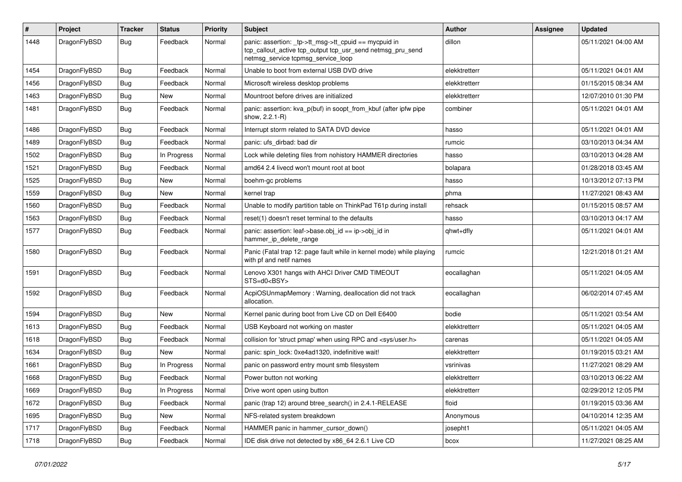| $\pmb{\#}$ | Project      | <b>Tracker</b> | <b>Status</b> | <b>Priority</b> | Subject                                                                                                                                                   | Author        | Assignee | <b>Updated</b>      |
|------------|--------------|----------------|---------------|-----------------|-----------------------------------------------------------------------------------------------------------------------------------------------------------|---------------|----------|---------------------|
| 1448       | DragonFlyBSD | Bug            | Feedback      | Normal          | panic: assertion: _tp->tt_msg->tt_cpuid == mycpuid in<br>tcp_callout_active tcp_output tcp_usr_send netmsg_pru_send<br>netmsg_service tcpmsg_service_loop | dillon        |          | 05/11/2021 04:00 AM |
| 1454       | DragonFlyBSD | Bug            | Feedback      | Normal          | Unable to boot from external USB DVD drive                                                                                                                | elekktretterr |          | 05/11/2021 04:01 AM |
| 1456       | DragonFlyBSD | <b>Bug</b>     | Feedback      | Normal          | Microsoft wireless desktop problems                                                                                                                       | elekktretterr |          | 01/15/2015 08:34 AM |
| 1463       | DragonFlyBSD | <b>Bug</b>     | New           | Normal          | Mountroot before drives are initialized                                                                                                                   | elekktretterr |          | 12/07/2010 01:30 PM |
| 1481       | DragonFlyBSD | Bug            | Feedback      | Normal          | panic: assertion: kva_p(buf) in soopt_from_kbuf (after ipfw pipe<br>show, 2.2.1-R)                                                                        | combiner      |          | 05/11/2021 04:01 AM |
| 1486       | DragonFlyBSD | <b>Bug</b>     | Feedback      | Normal          | Interrupt storm related to SATA DVD device                                                                                                                | hasso         |          | 05/11/2021 04:01 AM |
| 1489       | DragonFlyBSD | Bug            | Feedback      | Normal          | panic: ufs dirbad: bad dir                                                                                                                                | rumcic        |          | 03/10/2013 04:34 AM |
| 1502       | DragonFlyBSD | <b>Bug</b>     | In Progress   | Normal          | Lock while deleting files from nohistory HAMMER directories                                                                                               | hasso         |          | 03/10/2013 04:28 AM |
| 1521       | DragonFlyBSD | Bug            | Feedback      | Normal          | amd64 2.4 livecd won't mount root at boot                                                                                                                 | bolapara      |          | 01/28/2018 03:45 AM |
| 1525       | DragonFlyBSD | <b>Bug</b>     | <b>New</b>    | Normal          | boehm-gc problems                                                                                                                                         | hasso         |          | 10/13/2012 07:13 PM |
| 1559       | DragonFlyBSD | <b>Bug</b>     | New           | Normal          | kernel trap                                                                                                                                               | phma          |          | 11/27/2021 08:43 AM |
| 1560       | DragonFlyBSD | <b>Bug</b>     | Feedback      | Normal          | Unable to modify partition table on ThinkPad T61p during install                                                                                          | rehsack       |          | 01/15/2015 08:57 AM |
| 1563       | DragonFlyBSD | <b>Bug</b>     | Feedback      | Normal          | reset(1) doesn't reset terminal to the defaults                                                                                                           | hasso         |          | 03/10/2013 04:17 AM |
| 1577       | DragonFlyBSD | Bug            | Feedback      | Normal          | panic: assertion: leaf->base.obj id == ip->obj id in<br>hammer_ip_delete_range                                                                            | qhwt+dfly     |          | 05/11/2021 04:01 AM |
| 1580       | DragonFlyBSD | Bug            | Feedback      | Normal          | Panic (Fatal trap 12: page fault while in kernel mode) while playing<br>with pf and netif names                                                           | rumcic        |          | 12/21/2018 01:21 AM |
| 1591       | DragonFlyBSD | <b>Bug</b>     | Feedback      | Normal          | Lenovo X301 hangs with AHCI Driver CMD TIMEOUT<br>STS=d0 <bsy></bsy>                                                                                      | eocallaghan   |          | 05/11/2021 04:05 AM |
| 1592       | DragonFlyBSD | Bug            | Feedback      | Normal          | AcpiOSUnmapMemory: Warning, deallocation did not track<br>allocation.                                                                                     | eocallaghan   |          | 06/02/2014 07:45 AM |
| 1594       | DragonFlyBSD | <b>Bug</b>     | <b>New</b>    | Normal          | Kernel panic during boot from Live CD on Dell E6400                                                                                                       | bodie         |          | 05/11/2021 03:54 AM |
| 1613       | DragonFlyBSD | <b>Bug</b>     | Feedback      | Normal          | USB Keyboard not working on master                                                                                                                        | elekktretterr |          | 05/11/2021 04:05 AM |
| 1618       | DragonFlyBSD | <b>Bug</b>     | Feedback      | Normal          | collision for 'struct pmap' when using RPC and <sys user.h=""></sys>                                                                                      | carenas       |          | 05/11/2021 04:05 AM |
| 1634       | DragonFlyBSD | <b>Bug</b>     | New           | Normal          | panic: spin lock: 0xe4ad1320, indefinitive wait!                                                                                                          | elekktretterr |          | 01/19/2015 03:21 AM |
| 1661       | DragonFlyBSD | <b>Bug</b>     | In Progress   | Normal          | panic on password entry mount smb filesystem                                                                                                              | vsrinivas     |          | 11/27/2021 08:29 AM |
| 1668       | DragonFlyBSD | <b>Bug</b>     | Feedback      | Normal          | Power button not working                                                                                                                                  | elekktretterr |          | 03/10/2013 06:22 AM |
| 1669       | DragonFlyBSD | Bug            | In Progress   | Normal          | Drive wont open using button                                                                                                                              | elekktretterr |          | 02/29/2012 12:05 PM |
| 1672       | DragonFlyBSD | Bug            | Feedback      | Normal          | panic (trap 12) around btree_search() in 2.4.1-RELEASE                                                                                                    | floid         |          | 01/19/2015 03:36 AM |
| 1695       | DragonFlyBSD | <b>Bug</b>     | New           | Normal          | NFS-related system breakdown                                                                                                                              | Anonymous     |          | 04/10/2014 12:35 AM |
| 1717       | DragonFlyBSD | Bug            | Feedback      | Normal          | HAMMER panic in hammer_cursor_down()                                                                                                                      | josepht1      |          | 05/11/2021 04:05 AM |
| 1718       | DragonFlyBSD | Bug            | Feedback      | Normal          | IDE disk drive not detected by x86_64 2.6.1 Live CD                                                                                                       | bcox          |          | 11/27/2021 08:25 AM |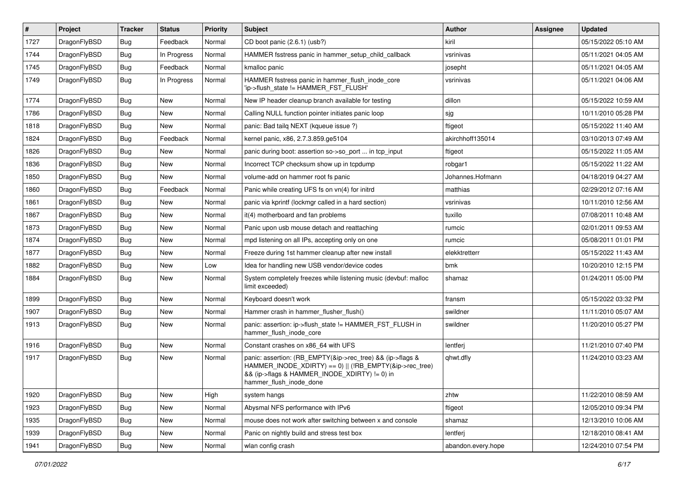| $\vert$ # | Project      | <b>Tracker</b> | <b>Status</b> | <b>Priority</b> | Subject                                                                                                                                                                                           | Author             | Assignee | <b>Updated</b>      |
|-----------|--------------|----------------|---------------|-----------------|---------------------------------------------------------------------------------------------------------------------------------------------------------------------------------------------------|--------------------|----------|---------------------|
| 1727      | DragonFlyBSD | Bug            | Feedback      | Normal          | CD boot panic (2.6.1) (usb?)                                                                                                                                                                      | kiril              |          | 05/15/2022 05:10 AM |
| 1744      | DragonFlyBSD | Bug            | In Progress   | Normal          | HAMMER fsstress panic in hammer setup child callback                                                                                                                                              | vsrinivas          |          | 05/11/2021 04:05 AM |
| 1745      | DragonFlyBSD | <b>Bug</b>     | Feedback      | Normal          | kmalloc panic                                                                                                                                                                                     | josepht            |          | 05/11/2021 04:05 AM |
| 1749      | DragonFlyBSD | Bug            | In Progress   | Normal          | HAMMER fsstress panic in hammer_flush_inode_core<br>'ip->flush_state != HAMMER_FST_FLUSH'                                                                                                         | vsrinivas          |          | 05/11/2021 04:06 AM |
| 1774      | DragonFlyBSD | <b>Bug</b>     | New           | Normal          | New IP header cleanup branch available for testing                                                                                                                                                | dillon             |          | 05/15/2022 10:59 AM |
| 1786      | DragonFlyBSD | Bug            | <b>New</b>    | Normal          | Calling NULL function pointer initiates panic loop                                                                                                                                                | sjg                |          | 10/11/2010 05:28 PM |
| 1818      | DragonFlyBSD | <b>Bug</b>     | <b>New</b>    | Normal          | panic: Bad tailq NEXT (kqueue issue ?)                                                                                                                                                            | ftigeot            |          | 05/15/2022 11:40 AM |
| 1824      | DragonFlyBSD | Bug            | Feedback      | Normal          | kernel panic, x86, 2.7.3.859.ge5104                                                                                                                                                               | akirchhoff135014   |          | 03/10/2013 07:49 AM |
| 1826      | DragonFlyBSD | Bug            | <b>New</b>    | Normal          | panic during boot: assertion so->so_port  in tcp_input                                                                                                                                            | ftigeot            |          | 05/15/2022 11:05 AM |
| 1836      | DragonFlyBSD | <b>Bug</b>     | New           | Normal          | Incorrect TCP checksum show up in tcpdump                                                                                                                                                         | robgar1            |          | 05/15/2022 11:22 AM |
| 1850      | DragonFlyBSD | Bug            | <b>New</b>    | Normal          | volume-add on hammer root fs panic                                                                                                                                                                | Johannes.Hofmann   |          | 04/18/2019 04:27 AM |
| 1860      | DragonFlyBSD | <b>Bug</b>     | Feedback      | Normal          | Panic while creating UFS fs on vn(4) for initrd                                                                                                                                                   | matthias           |          | 02/29/2012 07:16 AM |
| 1861      | DragonFlyBSD | <b>Bug</b>     | <b>New</b>    | Normal          | panic via kprintf (lockmgr called in a hard section)                                                                                                                                              | vsrinivas          |          | 10/11/2010 12:56 AM |
| 1867      | DragonFlyBSD | Bug            | <b>New</b>    | Normal          | it(4) motherboard and fan problems                                                                                                                                                                | tuxillo            |          | 07/08/2011 10:48 AM |
| 1873      | DragonFlyBSD | Bug            | <b>New</b>    | Normal          | Panic upon usb mouse detach and reattaching                                                                                                                                                       | rumcic             |          | 02/01/2011 09:53 AM |
| 1874      | DragonFlyBSD | Bug            | <b>New</b>    | Normal          | mpd listening on all IPs, accepting only on one                                                                                                                                                   | rumcic             |          | 05/08/2011 01:01 PM |
| 1877      | DragonFlyBSD | Bug            | New           | Normal          | Freeze during 1st hammer cleanup after new install                                                                                                                                                | elekktretterr      |          | 05/15/2022 11:43 AM |
| 1882      | DragonFlyBSD | Bug            | New           | Low             | Idea for handling new USB vendor/device codes                                                                                                                                                     | bmk                |          | 10/20/2010 12:15 PM |
| 1884      | DragonFlyBSD | Bug            | New           | Normal          | System completely freezes while listening music (devbuf: malloc<br>limit exceeded)                                                                                                                | shamaz             |          | 01/24/2011 05:00 PM |
| 1899      | DragonFlyBSD | Bug            | <b>New</b>    | Normal          | Keyboard doesn't work                                                                                                                                                                             | fransm             |          | 05/15/2022 03:32 PM |
| 1907      | DragonFlyBSD | <b>Bug</b>     | <b>New</b>    | Normal          | Hammer crash in hammer_flusher_flush()                                                                                                                                                            | swildner           |          | 11/11/2010 05:07 AM |
| 1913      | DragonFlyBSD | Bug            | New           | Normal          | panic: assertion: ip->flush_state != HAMMER_FST_FLUSH in<br>hammer_flush_inode_core                                                                                                               | swildner           |          | 11/20/2010 05:27 PM |
| 1916      | DragonFlyBSD | Bug            | New           | Normal          | Constant crashes on x86_64 with UFS                                                                                                                                                               | lentferj           |          | 11/21/2010 07:40 PM |
| 1917      | DragonFlyBSD | Bug            | New           | Normal          | panic: assertion: (RB_EMPTY(&ip->rec_tree) && (ip->flags &<br>HAMMER_INODE_XDIRTY) == 0)    (!RB_EMPTY(&ip->rec_tree)<br>&& (ip->flags & HAMMER_INODE_XDIRTY) != 0) in<br>hammer flush inode done | qhwt.dfly          |          | 11/24/2010 03:23 AM |
| 1920      | DragonFlyBSD | <b>Bug</b>     | New           | High            | system hangs                                                                                                                                                                                      | zhtw               |          | 11/22/2010 08:59 AM |
| 1923      | DragonFlyBSD | <b>Bug</b>     | New           | Normal          | Abysmal NFS performance with IPv6                                                                                                                                                                 | ftigeot            |          | 12/05/2010 09:34 PM |
| 1935      | DragonFlyBSD | <b>Bug</b>     | New           | Normal          | mouse does not work after switching between x and console                                                                                                                                         | shamaz             |          | 12/13/2010 10:06 AM |
| 1939      | DragonFlyBSD | <b>Bug</b>     | New           | Normal          | Panic on nightly build and stress test box                                                                                                                                                        | lentferj           |          | 12/18/2010 08:41 AM |
| 1941      | DragonFlyBSD | <b>Bug</b>     | New           | Normal          | wlan config crash                                                                                                                                                                                 | abandon.every.hope |          | 12/24/2010 07:54 PM |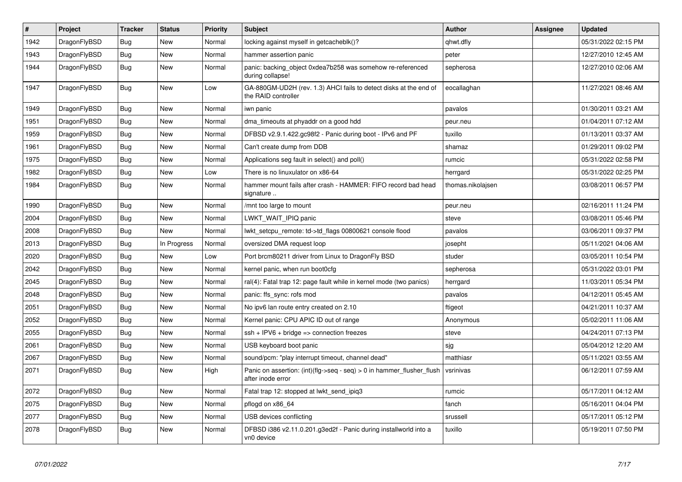| $\vert$ # | Project      | <b>Tracker</b> | <b>Status</b> | <b>Priority</b> | <b>Subject</b>                                                                             | <b>Author</b>     | Assignee | Updated             |
|-----------|--------------|----------------|---------------|-----------------|--------------------------------------------------------------------------------------------|-------------------|----------|---------------------|
| 1942      | DragonFlyBSD | Bug            | New           | Normal          | locking against myself in getcacheblk()?                                                   | qhwt.dfly         |          | 05/31/2022 02:15 PM |
| 1943      | DragonFlyBSD | Bug            | New           | Normal          | hammer assertion panic                                                                     | peter             |          | 12/27/2010 12:45 AM |
| 1944      | DragonFlyBSD | <b>Bug</b>     | <b>New</b>    | Normal          | panic: backing object 0xdea7b258 was somehow re-referenced<br>during collapse!             | sepherosa         |          | 12/27/2010 02:06 AM |
| 1947      | DragonFlyBSD | <b>Bug</b>     | <b>New</b>    | Low             | GA-880GM-UD2H (rev. 1.3) AHCI fails to detect disks at the end of<br>the RAID controller   | eocallaghan       |          | 11/27/2021 08:46 AM |
| 1949      | DragonFlyBSD | Bug            | <b>New</b>    | Normal          | iwn panic                                                                                  | pavalos           |          | 01/30/2011 03:21 AM |
| 1951      | DragonFlyBSD | <b>Bug</b>     | New           | Normal          | dma timeouts at phyaddr on a good hdd                                                      | peur.neu          |          | 01/04/2011 07:12 AM |
| 1959      | DragonFlyBSD | <b>Bug</b>     | <b>New</b>    | Normal          | DFBSD v2.9.1.422.gc98f2 - Panic during boot - IPv6 and PF                                  | tuxillo           |          | 01/13/2011 03:37 AM |
| 1961      | DragonFlyBSD | <b>Bug</b>     | <b>New</b>    | Normal          | Can't create dump from DDB                                                                 | shamaz            |          | 01/29/2011 09:02 PM |
| 1975      | DragonFlyBSD | Bug            | <b>New</b>    | Normal          | Applications seg fault in select() and poll()                                              | rumcic            |          | 05/31/2022 02:58 PM |
| 1982      | DragonFlyBSD | <b>Bug</b>     | New           | Low             | There is no linuxulator on x86-64                                                          | herrgard          |          | 05/31/2022 02:25 PM |
| 1984      | DragonFlyBSD | <b>Bug</b>     | New           | Normal          | hammer mount fails after crash - HAMMER: FIFO record bad head<br>signature                 | thomas.nikolajsen |          | 03/08/2011 06:57 PM |
| 1990      | DragonFlyBSD | <b>Bug</b>     | New           | Normal          | /mnt too large to mount                                                                    | peur.neu          |          | 02/16/2011 11:24 PM |
| 2004      | DragonFlyBSD | Bug            | New           | Normal          | LWKT WAIT IPIQ panic                                                                       | steve             |          | 03/08/2011 05:46 PM |
| 2008      | DragonFlyBSD | Bug            | New           | Normal          | lwkt setcpu remote: td->td flags 00800621 console flood                                    | pavalos           |          | 03/06/2011 09:37 PM |
| 2013      | DragonFlyBSD | Bug            | In Progress   | Normal          | oversized DMA request loop                                                                 | josepht           |          | 05/11/2021 04:06 AM |
| 2020      | DragonFlyBSD | Bug            | New           | Low             | Port brcm80211 driver from Linux to DragonFly BSD                                          | studer            |          | 03/05/2011 10:54 PM |
| 2042      | DragonFlyBSD | <b>Bug</b>     | New           | Normal          | kernel panic, when run boot0cfg                                                            | sepherosa         |          | 05/31/2022 03:01 PM |
| 2045      | DragonFlyBSD | <b>Bug</b>     | <b>New</b>    | Normal          | ral(4): Fatal trap 12: page fault while in kernel mode (two panics)                        | herrgard          |          | 11/03/2011 05:34 PM |
| 2048      | DragonFlyBSD | Bug            | <b>New</b>    | Normal          | panic: ffs_sync: rofs mod                                                                  | pavalos           |          | 04/12/2011 05:45 AM |
| 2051      | DragonFlyBSD | <b>Bug</b>     | New           | Normal          | No ipv6 lan route entry created on 2.10                                                    | ftigeot           |          | 04/21/2011 10:37 AM |
| 2052      | DragonFlyBSD | Bug            | New           | Normal          | Kernel panic: CPU APIC ID out of range                                                     | Anonymous         |          | 05/02/2011 11:06 AM |
| 2055      | DragonFlyBSD | Bug            | New           | Normal          | $ssh + IPV6 + bridge \Rightarrow connection freezes$                                       | steve             |          | 04/24/2011 07:13 PM |
| 2061      | DragonFlyBSD | Bug            | New           | Normal          | USB keyboard boot panic                                                                    | sjg               |          | 05/04/2012 12:20 AM |
| 2067      | DragonFlyBSD | <b>Bug</b>     | New           | Normal          | sound/pcm: "play interrupt timeout, channel dead"                                          | matthiasr         |          | 05/11/2021 03:55 AM |
| 2071      | DragonFlyBSD | <b>Bug</b>     | New           | High            | Panic on assertion: (int)(flg->seq - seq) > 0 in hammer_flusher_flush<br>after inode error | vsrinivas         |          | 06/12/2011 07:59 AM |
| 2072      | DragonFlyBSD | <b>Bug</b>     | <b>New</b>    | Normal          | Fatal trap 12: stopped at lwkt_send_ipiq3                                                  | rumcic            |          | 05/17/2011 04:12 AM |
| 2075      | DragonFlyBSD | <b>Bug</b>     | New           | Normal          | pflogd on x86 64                                                                           | fanch             |          | 05/16/2011 04:04 PM |
| 2077      | DragonFlyBSD | <b>Bug</b>     | <b>New</b>    | Normal          | USB devices conflicting                                                                    | srussell          |          | 05/17/2011 05:12 PM |
| 2078      | DragonFlyBSD | <b>Bug</b>     | <b>New</b>    | Normal          | DFBSD i386 v2.11.0.201.g3ed2f - Panic during installworld into a<br>vn0 device             | tuxillo           |          | 05/19/2011 07:50 PM |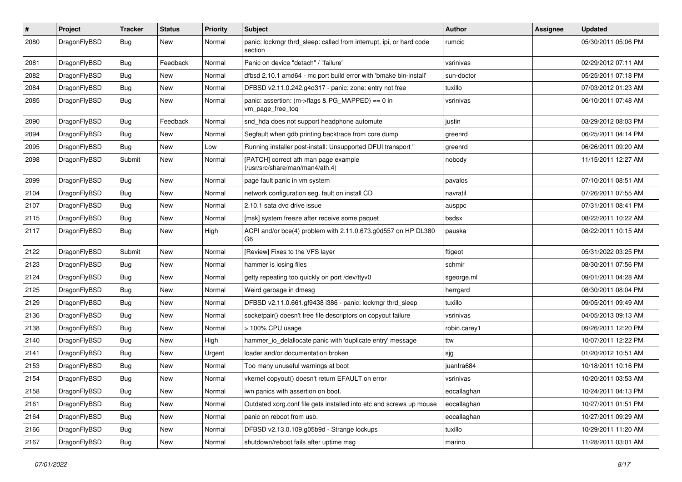| #    | Project      | <b>Tracker</b> | <b>Status</b> | <b>Priority</b> | <b>Subject</b>                                                                  | <b>Author</b> | <b>Assignee</b> | <b>Updated</b>      |
|------|--------------|----------------|---------------|-----------------|---------------------------------------------------------------------------------|---------------|-----------------|---------------------|
| 2080 | DragonFlyBSD | Bug            | New           | Normal          | panic: lockmgr thrd_sleep: called from interrupt, ipi, or hard code<br>section  | rumcic        |                 | 05/30/2011 05:06 PM |
| 2081 | DragonFlyBSD | <b>Bug</b>     | Feedback      | Normal          | Panic on device "detach" / "failure"                                            | vsrinivas     |                 | 02/29/2012 07:11 AM |
| 2082 | DragonFlyBSD | <b>Bug</b>     | <b>New</b>    | Normal          | dfbsd 2.10.1 amd64 - mc port build error with 'bmake bin-install'               | sun-doctor    |                 | 05/25/2011 07:18 PM |
| 2084 | DragonFlyBSD | <b>Bug</b>     | New           | Normal          | DFBSD v2.11.0.242.g4d317 - panic: zone: entry not free                          | tuxillo       |                 | 07/03/2012 01:23 AM |
| 2085 | DragonFlyBSD | <b>Bug</b>     | New           | Normal          | panic: assertion: (m->flags & PG_MAPPED) == 0 in<br>vm_page_free_toq            | vsrinivas     |                 | 06/10/2011 07:48 AM |
| 2090 | DragonFlyBSD | <b>Bug</b>     | Feedback      | Normal          | snd hda does not support headphone automute                                     | justin        |                 | 03/29/2012 08:03 PM |
| 2094 | DragonFlyBSD | <b>Bug</b>     | New           | Normal          | Segfault when gdb printing backtrace from core dump                             | greenrd       |                 | 06/25/2011 04:14 PM |
| 2095 | DragonFlyBSD | Bug            | New           | Low             | Running installer post-install: Unsupported DFUI transport "                    | greenrd       |                 | 06/26/2011 09:20 AM |
| 2098 | DragonFlyBSD | Submit         | New           | Normal          | [PATCH] correct ath man page example<br>(/usr/src/share/man/man4/ath.4)         | nobody        |                 | 11/15/2011 12:27 AM |
| 2099 | DragonFlyBSD | Bug            | <b>New</b>    | Normal          | page fault panic in vm system                                                   | pavalos       |                 | 07/10/2011 08:51 AM |
| 2104 | DragonFlyBSD | <b>Bug</b>     | <b>New</b>    | Normal          | network configuration seg. fault on install CD                                  | navratil      |                 | 07/26/2011 07:55 AM |
| 2107 | DragonFlyBSD | <b>Bug</b>     | New           | Normal          | 2.10.1 sata dvd drive issue                                                     | ausppc        |                 | 07/31/2011 08:41 PM |
| 2115 | DragonFlyBSD | Bug            | <b>New</b>    | Normal          | [msk] system freeze after receive some paquet                                   | bsdsx         |                 | 08/22/2011 10:22 AM |
| 2117 | DragonFlyBSD | <b>Bug</b>     | New           | High            | ACPI and/or bce(4) problem with 2.11.0.673.g0d557 on HP DL380<br>G <sub>6</sub> | pauska        |                 | 08/22/2011 10:15 AM |
| 2122 | DragonFlyBSD | Submit         | <b>New</b>    | Normal          | [Review] Fixes to the VFS layer                                                 | ftigeot       |                 | 05/31/2022 03:25 PM |
| 2123 | DragonFlyBSD | Bug            | New           | Normal          | hammer is losing files                                                          | schmir        |                 | 08/30/2011 07:56 PM |
| 2124 | DragonFlyBSD | Bug            | New           | Normal          | getty repeating too quickly on port /dev/ttyv0                                  | sgeorge.ml    |                 | 09/01/2011 04:28 AM |
| 2125 | DragonFlyBSD | <b>Bug</b>     | <b>New</b>    | Normal          | Weird garbage in dmesg                                                          | herrgard      |                 | 08/30/2011 08:04 PM |
| 2129 | DragonFlyBSD | <b>Bug</b>     | New           | Normal          | DFBSD v2.11.0.661.gf9438 i386 - panic: lockmgr thrd_sleep                       | tuxillo       |                 | 09/05/2011 09:49 AM |
| 2136 | DragonFlyBSD | <b>Bug</b>     | <b>New</b>    | Normal          | socketpair() doesn't free file descriptors on copyout failure                   | vsrinivas     |                 | 04/05/2013 09:13 AM |
| 2138 | DragonFlyBSD | Bug            | New           | Normal          | > 100% CPU usage                                                                | robin.carey1  |                 | 09/26/2011 12:20 PM |
| 2140 | DragonFlyBSD | <b>Bug</b>     | New           | High            | hammer_io_delallocate panic with 'duplicate entry' message                      | ttw           |                 | 10/07/2011 12:22 PM |
| 2141 | DragonFlyBSD | <b>Bug</b>     | <b>New</b>    | Urgent          | loader and/or documentation broken                                              | sjg           |                 | 01/20/2012 10:51 AM |
| 2153 | DragonFlyBSD | <b>Bug</b>     | New           | Normal          | Too many unuseful warnings at boot                                              | juanfra684    |                 | 10/18/2011 10:16 PM |
| 2154 | DragonFlyBSD | <b>Bug</b>     | New           | Normal          | vkernel copyout() doesn't return EFAULT on error                                | vsrinivas     |                 | 10/20/2011 03:53 AM |
| 2158 | DragonFlyBSD | <b>Bug</b>     | New           | Normal          | iwn panics with assertion on boot.                                              | eocallaghan   |                 | 10/24/2011 04:13 PM |
| 2161 | DragonFlyBSD | <b>Bug</b>     | <b>New</b>    | Normal          | Outdated xorg.conf file gets installed into etc and screws up mouse             | eocallaghan   |                 | 10/27/2011 01:51 PM |
| 2164 | DragonFlyBSD | <b>Bug</b>     | New           | Normal          | panic on reboot from usb.                                                       | eocallaghan   |                 | 10/27/2011 09:29 AM |
| 2166 | DragonFlyBSD | <b>Bug</b>     | New           | Normal          | DFBSD v2.13.0.109.g05b9d - Strange lockups                                      | tuxillo       |                 | 10/29/2011 11:20 AM |
| 2167 | DragonFlyBSD | <b>Bug</b>     | New           | Normal          | shutdown/reboot fails after uptime msg                                          | marino        |                 | 11/28/2011 03:01 AM |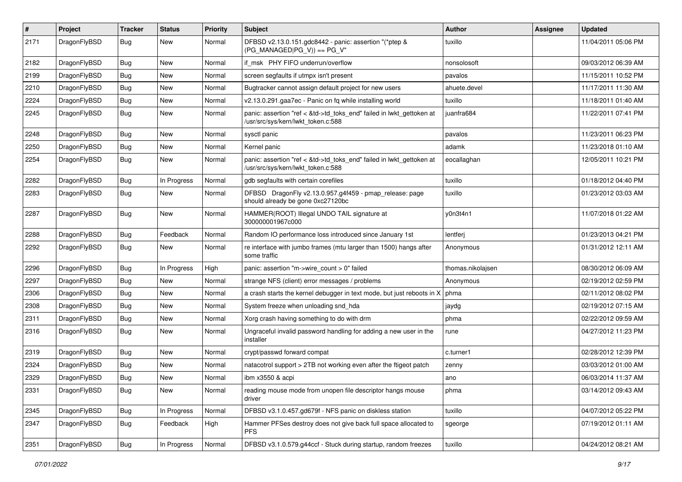| #    | Project      | <b>Tracker</b> | <b>Status</b> | <b>Priority</b> | <b>Subject</b>                                                                                             | Author            | Assignee | <b>Updated</b>      |
|------|--------------|----------------|---------------|-----------------|------------------------------------------------------------------------------------------------------------|-------------------|----------|---------------------|
| 2171 | DragonFlyBSD | Bug            | New           | Normal          | DFBSD v2.13.0.151.gdc8442 - panic: assertion "(*ptep &<br>$(PG_MANAGED PG_V)$ == PG_V"                     | tuxillo           |          | 11/04/2011 05:06 PM |
| 2182 | DragonFlyBSD | <b>Bug</b>     | <b>New</b>    | Normal          | if msk PHY FIFO underrun/overflow                                                                          | nonsolosoft       |          | 09/03/2012 06:39 AM |
| 2199 | DragonFlyBSD | Bug            | <b>New</b>    | Normal          | screen segfaults if utmpx isn't present                                                                    | pavalos           |          | 11/15/2011 10:52 PM |
| 2210 | DragonFlyBSD | <b>Bug</b>     | <b>New</b>    | Normal          | Bugtracker cannot assign default project for new users                                                     | ahuete.devel      |          | 11/17/2011 11:30 AM |
| 2224 | DragonFlyBSD | <b>Bug</b>     | New           | Normal          | v2.13.0.291.gaa7ec - Panic on fq while installing world                                                    | tuxillo           |          | 11/18/2011 01:40 AM |
| 2245 | DragonFlyBSD | Bug            | New           | Normal          | panic: assertion "ref < &td->td_toks_end" failed in lwkt_gettoken at<br>/usr/src/sys/kern/lwkt_token.c:588 | juanfra684        |          | 11/22/2011 07:41 PM |
| 2248 | DragonFlyBSD | Bug            | <b>New</b>    | Normal          | sysctl panic                                                                                               | pavalos           |          | 11/23/2011 06:23 PM |
| 2250 | DragonFlyBSD | <b>Bug</b>     | <b>New</b>    | Normal          | Kernel panic                                                                                               | adamk             |          | 11/23/2018 01:10 AM |
| 2254 | DragonFlyBSD | <b>Bug</b>     | <b>New</b>    | Normal          | panic: assertion "ref < &td->td_toks_end" failed in lwkt_gettoken at<br>/usr/src/sys/kern/lwkt_token.c:588 | eocallaghan       |          | 12/05/2011 10:21 PM |
| 2282 | DragonFlyBSD | <b>Bug</b>     | In Progress   | Normal          | gdb segfaults with certain corefiles                                                                       | tuxillo           |          | 01/18/2012 04:40 PM |
| 2283 | DragonFlyBSD | Bug            | New           | Normal          | DFBSD DragonFly v2.13.0.957.g4f459 - pmap_release: page<br>should already be gone 0xc27120bc               | tuxillo           |          | 01/23/2012 03:03 AM |
| 2287 | DragonFlyBSD | <b>Bug</b>     | New           | Normal          | HAMMER(ROOT) Illegal UNDO TAIL signature at<br>300000001967c000                                            | y0n3t4n1          |          | 11/07/2018 01:22 AM |
| 2288 | DragonFlyBSD | <b>Bug</b>     | Feedback      | Normal          | Random IO performance loss introduced since January 1st                                                    | lentferj          |          | 01/23/2013 04:21 PM |
| 2292 | DragonFlyBSD | <b>Bug</b>     | <b>New</b>    | Normal          | re interface with jumbo frames (mtu larger than 1500) hangs after<br>some traffic                          | Anonymous         |          | 01/31/2012 12:11 AM |
| 2296 | DragonFlyBSD | <b>Bug</b>     | In Progress   | High            | panic: assertion "m->wire count > 0" failed                                                                | thomas.nikolajsen |          | 08/30/2012 06:09 AM |
| 2297 | DragonFlyBSD | <b>Bug</b>     | New           | Normal          | strange NFS (client) error messages / problems                                                             | Anonymous         |          | 02/19/2012 02:59 PM |
| 2306 | DragonFlyBSD | Bug            | <b>New</b>    | Normal          | a crash starts the kernel debugger in text mode, but just reboots in X                                     | phma              |          | 02/11/2012 08:02 PM |
| 2308 | DragonFlyBSD | <b>Bug</b>     | New           | Normal          | System freeze when unloading snd_hda                                                                       | jaydg             |          | 02/19/2012 07:15 AM |
| 2311 | DragonFlyBSD | Bug            | <b>New</b>    | Normal          | Xorg crash having something to do with drm                                                                 | phma              |          | 02/22/2012 09:59 AM |
| 2316 | DragonFlyBSD | <b>Bug</b>     | New           | Normal          | Ungraceful invalid password handling for adding a new user in the<br>installer                             | rune              |          | 04/27/2012 11:23 PM |
| 2319 | DragonFlyBSD | Bug            | <b>New</b>    | Normal          | crypt/passwd forward compat                                                                                | c.turner1         |          | 02/28/2012 12:39 PM |
| 2324 | DragonFlyBSD | Bug            | <b>New</b>    | Normal          | natacotrol support > 2TB not working even after the ftigeot patch                                          | zenny             |          | 03/03/2012 01:00 AM |
| 2329 | DragonFlyBSD | <b>Bug</b>     | New           | Normal          | ibm x3550 & acpi                                                                                           | ano               |          | 06/03/2014 11:37 AM |
| 2331 | DragonFlyBSD | <b>Bug</b>     | New           | Normal          | reading mouse mode from unopen file descriptor hangs mouse<br>driver                                       | phma              |          | 03/14/2012 09:43 AM |
| 2345 | DragonFlyBSD | <b>Bug</b>     | In Progress   | Normal          | DFBSD v3.1.0.457.gd679f - NFS panic on diskless station                                                    | tuxillo           |          | 04/07/2012 05:22 PM |
| 2347 | DragonFlyBSD | Bug            | Feedback      | High            | Hammer PFSes destroy does not give back full space allocated to<br><b>PFS</b>                              | sgeorge           |          | 07/19/2012 01:11 AM |
| 2351 | DragonFlyBSD | Bug            | In Progress   | Normal          | DFBSD v3.1.0.579.g44ccf - Stuck during startup, random freezes                                             | tuxillo           |          | 04/24/2012 08:21 AM |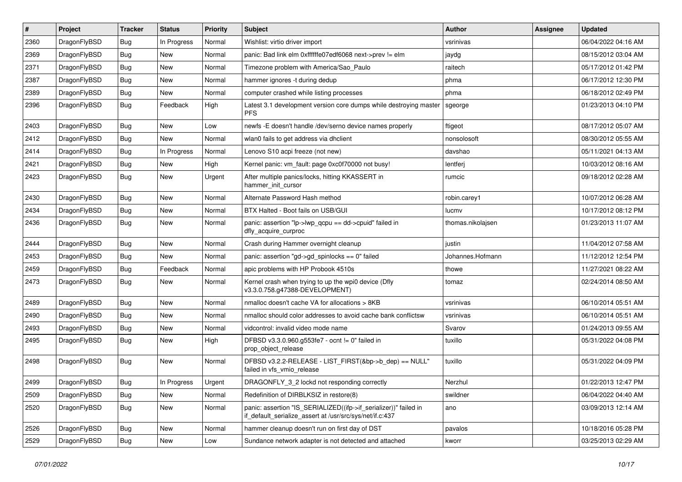| $\pmb{\#}$ | Project      | <b>Tracker</b> | <b>Status</b> | <b>Priority</b> | Subject                                                                                                                      | Author            | Assignee | <b>Updated</b>      |
|------------|--------------|----------------|---------------|-----------------|------------------------------------------------------------------------------------------------------------------------------|-------------------|----------|---------------------|
| 2360       | DragonFlyBSD | Bug            | In Progress   | Normal          | Wishlist: virtio driver import                                                                                               | vsrinivas         |          | 06/04/2022 04:16 AM |
| 2369       | DragonFlyBSD | Bug            | New           | Normal          | panic: Bad link elm 0xffffffe07edf6068 next->prev != elm                                                                     | jaydg             |          | 08/15/2012 03:04 AM |
| 2371       | DragonFlyBSD | <b>Bug</b>     | New           | Normal          | Timezone problem with America/Sao_Paulo                                                                                      | raitech           |          | 05/17/2012 01:42 PM |
| 2387       | DragonFlyBSD | Bug            | <b>New</b>    | Normal          | hammer ignores -t during dedup                                                                                               | phma              |          | 06/17/2012 12:30 PM |
| 2389       | DragonFlyBSD | <b>Bug</b>     | New           | Normal          | computer crashed while listing processes                                                                                     | phma              |          | 06/18/2012 02:49 PM |
| 2396       | DragonFlyBSD | Bug            | Feedback      | High            | Latest 3.1 development version core dumps while destroying master<br><b>PFS</b>                                              | sgeorge           |          | 01/23/2013 04:10 PM |
| 2403       | DragonFlyBSD | Bug            | New           | Low             | newfs -E doesn't handle /dev/serno device names properly                                                                     | ftigeot           |          | 08/17/2012 05:07 AM |
| 2412       | DragonFlyBSD | Bug            | New           | Normal          | wlan0 fails to get address via dhclient                                                                                      | nonsolosoft       |          | 08/30/2012 05:55 AM |
| 2414       | DragonFlyBSD | Bug            | In Progress   | Normal          | Lenovo S10 acpi freeze (not new)                                                                                             | davshao           |          | 05/11/2021 04:13 AM |
| 2421       | DragonFlyBSD | <b>Bug</b>     | New           | High            | Kernel panic: vm_fault: page 0xc0f70000 not busy!                                                                            | lentferj          |          | 10/03/2012 08:16 AM |
| 2423       | DragonFlyBSD | Bug            | <b>New</b>    | Urgent          | After multiple panics/locks, hitting KKASSERT in<br>hammer init cursor                                                       | rumcic            |          | 09/18/2012 02:28 AM |
| 2430       | DragonFlyBSD | Bug            | <b>New</b>    | Normal          | Alternate Password Hash method                                                                                               | robin.carey1      |          | 10/07/2012 06:28 AM |
| 2434       | DragonFlyBSD | <b>Bug</b>     | New           | Normal          | BTX Halted - Boot fails on USB/GUI                                                                                           | lucmv             |          | 10/17/2012 08:12 PM |
| 2436       | DragonFlyBSD | Bug            | New           | Normal          | panic: assertion "lp->lwp_qcpu == dd->cpuid" failed in<br>dfly_acquire_curproc                                               | thomas.nikolajsen |          | 01/23/2013 11:07 AM |
| 2444       | DragonFlyBSD | Bug            | <b>New</b>    | Normal          | Crash during Hammer overnight cleanup                                                                                        | justin            |          | 11/04/2012 07:58 AM |
| 2453       | DragonFlyBSD | <b>Bug</b>     | New           | Normal          | panic: assertion "gd->gd spinlocks == $0$ " failed                                                                           | Johannes.Hofmann  |          | 11/12/2012 12:54 PM |
| 2459       | DragonFlyBSD | Bug            | Feedback      | Normal          | apic problems with HP Probook 4510s                                                                                          | thowe             |          | 11/27/2021 08:22 AM |
| 2473       | DragonFlyBSD | Bug            | New           | Normal          | Kernel crash when trying to up the wpi0 device (Dfly<br>v3.3.0.758.g47388-DEVELOPMENT)                                       | tomaz             |          | 02/24/2014 08:50 AM |
| 2489       | DragonFlyBSD | <b>Bug</b>     | <b>New</b>    | Normal          | nmalloc doesn't cache VA for allocations > 8KB                                                                               | vsrinivas         |          | 06/10/2014 05:51 AM |
| 2490       | DragonFlyBSD | <b>Bug</b>     | New           | Normal          | nmalloc should color addresses to avoid cache bank conflictsw                                                                | vsrinivas         |          | 06/10/2014 05:51 AM |
| 2493       | DragonFlyBSD | Bug            | <b>New</b>    | Normal          | vidcontrol: invalid video mode name                                                                                          | Svarov            |          | 01/24/2013 09:55 AM |
| 2495       | DragonFlyBSD | Bug            | New           | High            | DFBSD v3.3.0.960.g553fe7 - ocnt != 0" failed in<br>prop_object_release                                                       | tuxillo           |          | 05/31/2022 04:08 PM |
| 2498       | DragonFlyBSD | Bug            | New           | Normal          | DFBSD v3.2.2-RELEASE - LIST_FIRST(&bp->b_dep) == NULL"<br>failed in vfs_vmio_release                                         | tuxillo           |          | 05/31/2022 04:09 PM |
| 2499       | DragonFlyBSD | Bug            | In Progress   | Urgent          | DRAGONFLY 3 2 lockd not responding correctly                                                                                 | Nerzhul           |          | 01/22/2013 12:47 PM |
| 2509       | DragonFlyBSD | <b>Bug</b>     | New           | Normal          | Redefinition of DIRBLKSIZ in restore(8)                                                                                      | swildner          |          | 06/04/2022 04:40 AM |
| 2520       | DragonFlyBSD | <b>Bug</b>     | New           | Normal          | panic: assertion "IS_SERIALIZED((ifp->if_serializer))" failed in<br>if_default_serialize_assert at /usr/src/sys/net/if.c:437 | ano               |          | 03/09/2013 12:14 AM |
| 2526       | DragonFlyBSD | <b>Bug</b>     | New           | Normal          | hammer cleanup doesn't run on first day of DST                                                                               | pavalos           |          | 10/18/2016 05:28 PM |
| 2529       | DragonFlyBSD | <b>Bug</b>     | New           | Low             | Sundance network adapter is not detected and attached                                                                        | kworr             |          | 03/25/2013 02:29 AM |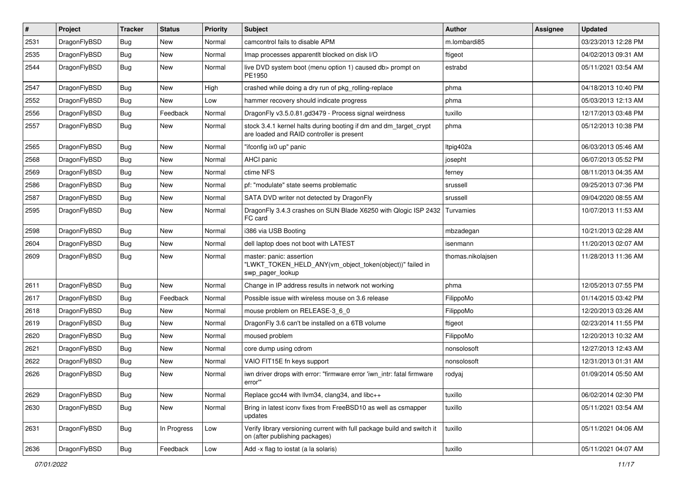| $\sharp$ | Project      | <b>Tracker</b> | <b>Status</b> | <b>Priority</b> | Subject                                                                                                        | <b>Author</b>     | Assignee | <b>Updated</b>      |
|----------|--------------|----------------|---------------|-----------------|----------------------------------------------------------------------------------------------------------------|-------------------|----------|---------------------|
| 2531     | DragonFlyBSD | Bug            | New           | Normal          | camcontrol fails to disable APM                                                                                | m.lombardi85      |          | 03/23/2013 12:28 PM |
| 2535     | DragonFlyBSD | Bug            | New           | Normal          | Imap processes apparentlt blocked on disk I/O                                                                  | ftigeot           |          | 04/02/2013 09:31 AM |
| 2544     | DragonFlyBSD | Bug            | <b>New</b>    | Normal          | live DVD system boot (menu option 1) caused db> prompt on<br>PE1950                                            | estrabd           |          | 05/11/2021 03:54 AM |
| 2547     | DragonFlyBSD | Bug            | <b>New</b>    | High            | crashed while doing a dry run of pkg_rolling-replace                                                           | phma              |          | 04/18/2013 10:40 PM |
| 2552     | DragonFlyBSD | Bug            | New           | Low             | hammer recovery should indicate progress                                                                       | phma              |          | 05/03/2013 12:13 AM |
| 2556     | DragonFlyBSD | Bug            | Feedback      | Normal          | DragonFly v3.5.0.81.gd3479 - Process signal weirdness                                                          | tuxillo           |          | 12/17/2013 03:48 PM |
| 2557     | DragonFlyBSD | Bug            | <b>New</b>    | Normal          | stock 3.4.1 kernel halts during booting if dm and dm_target_crypt<br>are loaded and RAID controller is present | phma              |          | 05/12/2013 10:38 PM |
| 2565     | DragonFlyBSD | Bug            | New           | Normal          | "ifconfig ix0 up" panic                                                                                        | Itpig402a         |          | 06/03/2013 05:46 AM |
| 2568     | DragonFlyBSD | Bug            | <b>New</b>    | Normal          | AHCI panic                                                                                                     | josepht           |          | 06/07/2013 05:52 PM |
| 2569     | DragonFlyBSD | Bug            | <b>New</b>    | Normal          | ctime NFS                                                                                                      | ferney            |          | 08/11/2013 04:35 AM |
| 2586     | DragonFlyBSD | Bug            | <b>New</b>    | Normal          | pf: "modulate" state seems problematic                                                                         | srussell          |          | 09/25/2013 07:36 PM |
| 2587     | DragonFlyBSD | Bug            | New           | Normal          | SATA DVD writer not detected by DragonFly                                                                      | srussell          |          | 09/04/2020 08:55 AM |
| 2595     | DragonFlyBSD | Bug            | New           | Normal          | DragonFly 3.4.3 crashes on SUN Blade X6250 with Qlogic ISP 2432<br>FC card                                     | Turvamies         |          | 10/07/2013 11:53 AM |
| 2598     | DragonFlyBSD | Bug            | <b>New</b>    | Normal          | i386 via USB Booting                                                                                           | mbzadegan         |          | 10/21/2013 02:28 AM |
| 2604     | DragonFlyBSD | Bug            | <b>New</b>    | Normal          | dell laptop does not boot with LATEST                                                                          | isenmann          |          | 11/20/2013 02:07 AM |
| 2609     | DragonFlyBSD | Bug            | <b>New</b>    | Normal          | master: panic: assertion<br>"LWKT_TOKEN_HELD_ANY(vm_object_token(object))" failed in<br>swp_pager_lookup       | thomas.nikolajsen |          | 11/28/2013 11:36 AM |
| 2611     | DragonFlyBSD | <b>Bug</b>     | New           | Normal          | Change in IP address results in network not working                                                            | phma              |          | 12/05/2013 07:55 PM |
| 2617     | DragonFlyBSD | <b>Bug</b>     | Feedback      | Normal          | Possible issue with wireless mouse on 3.6 release                                                              | FilippoMo         |          | 01/14/2015 03:42 PM |
| 2618     | DragonFlyBSD | <b>Bug</b>     | New           | Normal          | mouse problem on RELEASE-3 6 0                                                                                 | FilippoMo         |          | 12/20/2013 03:26 AM |
| 2619     | DragonFlyBSD | <b>Bug</b>     | <b>New</b>    | Normal          | DragonFly 3.6 can't be installed on a 6TB volume                                                               | ftigeot           |          | 02/23/2014 11:55 PM |
| 2620     | DragonFlyBSD | <b>Bug</b>     | <b>New</b>    | Normal          | moused problem                                                                                                 | FilippoMo         |          | 12/20/2013 10:32 AM |
| 2621     | DragonFlyBSD | <b>Bug</b>     | New           | Normal          | core dump using cdrom                                                                                          | nonsolosoft       |          | 12/27/2013 12:43 AM |
| 2622     | DragonFlyBSD | <b>Bug</b>     | <b>New</b>    | Normal          | VAIO FIT15E fn keys support                                                                                    | nonsolosoft       |          | 12/31/2013 01:31 AM |
| 2626     | DragonFlyBSD | <b>Bug</b>     | New           | Normal          | iwn driver drops with error: "firmware error 'iwn_intr: fatal firmware<br>error""                              | rodyaj            |          | 01/09/2014 05:50 AM |
| 2629     | DragonFlyBSD | <b>Bug</b>     | New           | Normal          | Replace gcc44 with llvm34, clang34, and libc++                                                                 | tuxillo           |          | 06/02/2014 02:30 PM |
| 2630     | DragonFlyBSD | <b>Bug</b>     | New           | Normal          | Bring in latest iconv fixes from FreeBSD10 as well as csmapper<br>updates                                      | tuxillo           |          | 05/11/2021 03:54 AM |
| 2631     | DragonFlyBSD | Bug            | In Progress   | Low             | Verify library versioning current with full package build and switch it<br>on (after publishing packages)      | tuxillo           |          | 05/11/2021 04:06 AM |
| 2636     | DragonFlyBSD | Bug            | Feedback      | Low             | Add -x flag to iostat (a la solaris)                                                                           | tuxillo           |          | 05/11/2021 04:07 AM |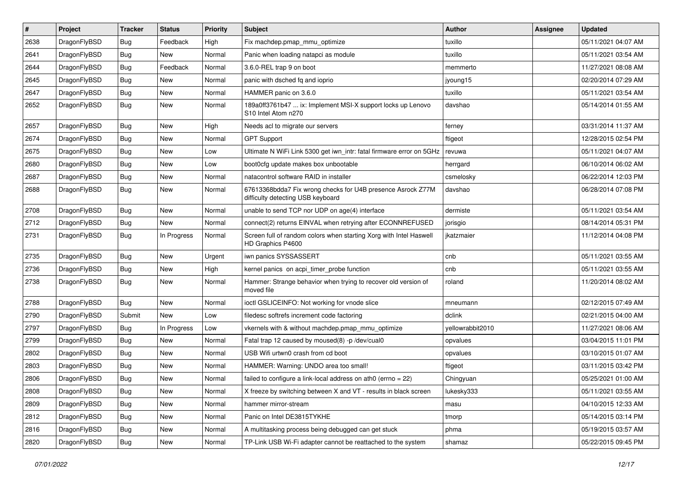| #    | Project      | <b>Tracker</b> | <b>Status</b> | <b>Priority</b> | Subject                                                                                          | Author           | Assignee | <b>Updated</b>      |
|------|--------------|----------------|---------------|-----------------|--------------------------------------------------------------------------------------------------|------------------|----------|---------------------|
| 2638 | DragonFlyBSD | Bug            | Feedback      | High            | Fix machdep.pmap_mmu_optimize                                                                    | tuxillo          |          | 05/11/2021 04:07 AM |
| 2641 | DragonFlyBSD | Bug            | New           | Normal          | Panic when loading natapci as module                                                             | tuxillo          |          | 05/11/2021 03:54 AM |
| 2644 | DragonFlyBSD | <b>Bug</b>     | Feedback      | Normal          | 3.6.0-REL trap 9 on boot                                                                         | memmerto         |          | 11/27/2021 08:08 AM |
| 2645 | DragonFlyBSD | Bug            | <b>New</b>    | Normal          | panic with dsched fq and ioprio                                                                  | jyoung15         |          | 02/20/2014 07:29 AM |
| 2647 | DragonFlyBSD | <b>Bug</b>     | <b>New</b>    | Normal          | HAMMER panic on 3.6.0                                                                            | tuxillo          |          | 05/11/2021 03:54 AM |
| 2652 | DragonFlyBSD | Bug            | New           | Normal          | 189a0ff3761b47  ix: Implement MSI-X support locks up Lenovo<br>S10 Intel Atom n270               | davshao          |          | 05/14/2014 01:55 AM |
| 2657 | DragonFlyBSD | <b>Bug</b>     | <b>New</b>    | High            | Needs acl to migrate our servers                                                                 | ferney           |          | 03/31/2014 11:37 AM |
| 2674 | DragonFlyBSD | Bug            | <b>New</b>    | Normal          | <b>GPT Support</b>                                                                               | ftigeot          |          | 12/28/2015 02:54 PM |
| 2675 | DragonFlyBSD | <b>Bug</b>     | <b>New</b>    | Low             | Ultimate N WiFi Link 5300 get iwn intr: fatal firmware error on 5GHz                             | revuwa           |          | 05/11/2021 04:07 AM |
| 2680 | DragonFlyBSD | <b>Bug</b>     | New           | Low             | boot0cfg update makes box unbootable                                                             | herrgard         |          | 06/10/2014 06:02 AM |
| 2687 | DragonFlyBSD | Bug            | <b>New</b>    | Normal          | natacontrol software RAID in installer                                                           | csmelosky        |          | 06/22/2014 12:03 PM |
| 2688 | DragonFlyBSD | Bug            | New           | Normal          | 67613368bdda7 Fix wrong checks for U4B presence Asrock Z77M<br>difficulty detecting USB keyboard | davshao          |          | 06/28/2014 07:08 PM |
| 2708 | DragonFlyBSD | Bug            | <b>New</b>    | Normal          | unable to send TCP nor UDP on age(4) interface                                                   | dermiste         |          | 05/11/2021 03:54 AM |
| 2712 | DragonFlyBSD | <b>Bug</b>     | New           | Normal          | connect(2) returns EINVAL when retrying after ECONNREFUSED                                       | jorisgio         |          | 08/14/2014 05:31 PM |
| 2731 | DragonFlyBSD | Bug            | In Progress   | Normal          | Screen full of random colors when starting Xorg with Intel Haswell<br>HD Graphics P4600          | jkatzmaier       |          | 11/12/2014 04:08 PM |
| 2735 | DragonFlyBSD | <b>Bug</b>     | New           | Urgent          | iwn panics SYSSASSERT                                                                            | cnb              |          | 05/11/2021 03:55 AM |
| 2736 | DragonFlyBSD | Bug            | <b>New</b>    | High            | kernel panics on acpi_timer_probe function                                                       | cnb              |          | 05/11/2021 03:55 AM |
| 2738 | DragonFlyBSD | Bug            | New           | Normal          | Hammer: Strange behavior when trying to recover old version of<br>moved file                     | roland           |          | 11/20/2014 08:02 AM |
| 2788 | DragonFlyBSD | Bug            | <b>New</b>    | Normal          | ioctl GSLICEINFO: Not working for vnode slice                                                    | mneumann         |          | 02/12/2015 07:49 AM |
| 2790 | DragonFlyBSD | Submit         | <b>New</b>    | Low             | filedesc softrefs increment code factoring                                                       | dclink           |          | 02/21/2015 04:00 AM |
| 2797 | DragonFlyBSD | Bug            | In Progress   | Low             | vkernels with & without machdep.pmap_mmu_optimize                                                | yellowrabbit2010 |          | 11/27/2021 08:06 AM |
| 2799 | DragonFlyBSD | Bug            | <b>New</b>    | Normal          | Fatal trap 12 caused by moused(8) -p /dev/cual0                                                  | opvalues         |          | 03/04/2015 11:01 PM |
| 2802 | DragonFlyBSD | <b>Bug</b>     | New           | Normal          | USB Wifi urtwn0 crash from cd boot                                                               | opvalues         |          | 03/10/2015 01:07 AM |
| 2803 | DragonFlyBSD | <b>Bug</b>     | <b>New</b>    | Normal          | HAMMER: Warning: UNDO area too small!                                                            | ftigeot          |          | 03/11/2015 03:42 PM |
| 2806 | DragonFlyBSD | <b>Bug</b>     | New           | Normal          | failed to configure a link-local address on ath $0$ (errno = 22)                                 | Chingyuan        |          | 05/25/2021 01:00 AM |
| 2808 | DragonFlyBSD | <b>Bug</b>     | New           | Normal          | X freeze by switching between X and VT - results in black screen                                 | lukesky333       |          | 05/11/2021 03:55 AM |
| 2809 | DragonFlyBSD | <b>Bug</b>     | New           | Normal          | hammer mirror-stream                                                                             | masu             |          | 04/10/2015 12:33 AM |
| 2812 | DragonFlyBSD | <b>Bug</b>     | New           | Normal          | Panic on Intel DE3815TYKHE                                                                       | tmorp            |          | 05/14/2015 03:14 PM |
| 2816 | DragonFlyBSD | <b>Bug</b>     | New           | Normal          | A multitasking process being debugged can get stuck                                              | phma             |          | 05/19/2015 03:57 AM |
| 2820 | DragonFlyBSD | <b>Bug</b>     | New           | Normal          | TP-Link USB Wi-Fi adapter cannot be reattached to the system                                     | shamaz           |          | 05/22/2015 09:45 PM |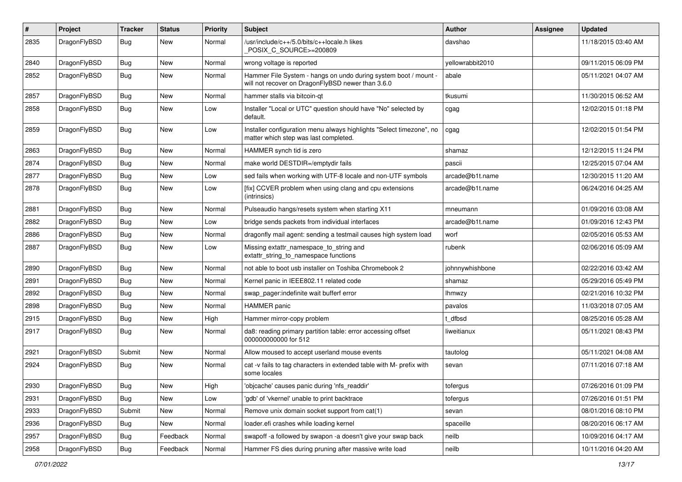| #    | Project      | <b>Tracker</b> | <b>Status</b> | <b>Priority</b> | Subject                                                                                                              | <b>Author</b>    | Assignee | <b>Updated</b>      |
|------|--------------|----------------|---------------|-----------------|----------------------------------------------------------------------------------------------------------------------|------------------|----------|---------------------|
| 2835 | DragonFlyBSD | Bug            | New           | Normal          | /usr/include/c++/5.0/bits/c++locale.h likes<br>POSIX_C_SOURCE>=200809                                                | davshao          |          | 11/18/2015 03:40 AM |
| 2840 | DragonFlyBSD | <b>Bug</b>     | New           | Normal          | wrong voltage is reported                                                                                            | yellowrabbit2010 |          | 09/11/2015 06:09 PM |
| 2852 | DragonFlyBSD | <b>Bug</b>     | <b>New</b>    | Normal          | Hammer File System - hangs on undo during system boot / mount -<br>will not recover on DragonFlyBSD newer than 3.6.0 | abale            |          | 05/11/2021 04:07 AM |
| 2857 | DragonFlyBSD | <b>Bug</b>     | New           | Normal          | hammer stalls via bitcoin-qt                                                                                         | tkusumi          |          | 11/30/2015 06:52 AM |
| 2858 | DragonFlyBSD | <b>Bug</b>     | New           | Low             | Installer "Local or UTC" question should have "No" selected by<br>default.                                           | cgag             |          | 12/02/2015 01:18 PM |
| 2859 | DragonFlyBSD | <b>Bug</b>     | New           | Low             | Installer configuration menu always highlights "Select timezone", no<br>matter which step was last completed.        | cgag             |          | 12/02/2015 01:54 PM |
| 2863 | DragonFlyBSD | <b>Bug</b>     | New           | Normal          | HAMMER synch tid is zero                                                                                             | shamaz           |          | 12/12/2015 11:24 PM |
| 2874 | DragonFlyBSD | <b>Bug</b>     | New           | Normal          | make world DESTDIR=/emptydir fails                                                                                   | pascii           |          | 12/25/2015 07:04 AM |
| 2877 | DragonFlyBSD | Bug            | New           | Low             | sed fails when working with UTF-8 locale and non-UTF symbols                                                         | arcade@b1t.name  |          | 12/30/2015 11:20 AM |
| 2878 | DragonFlyBSD | <b>Bug</b>     | New           | Low             | [fix] CCVER problem when using clang and cpu extensions<br>(intrinsics)                                              | arcade@b1t.name  |          | 06/24/2016 04:25 AM |
| 2881 | DragonFlyBSD | <b>Bug</b>     | New           | Normal          | Pulseaudio hangs/resets system when starting X11                                                                     | mneumann         |          | 01/09/2016 03:08 AM |
| 2882 | DragonFlyBSD | <b>Bug</b>     | <b>New</b>    | Low             | bridge sends packets from individual interfaces                                                                      | arcade@b1t.name  |          | 01/09/2016 12:43 PM |
| 2886 | DragonFlyBSD | Bug            | New           | Normal          | dragonfly mail agent: sending a testmail causes high system load                                                     | worf             |          | 02/05/2016 05:53 AM |
| 2887 | DragonFlyBSD | <b>Bug</b>     | <b>New</b>    | Low             | Missing extattr_namespace_to_string and<br>extattr_string_to_namespace functions                                     | rubenk           |          | 02/06/2016 05:09 AM |
| 2890 | DragonFlyBSD | Bug            | <b>New</b>    | Normal          | not able to boot usb installer on Toshiba Chromebook 2                                                               | johnnywhishbone  |          | 02/22/2016 03:42 AM |
| 2891 | DragonFlyBSD | <b>Bug</b>     | New           | Normal          | Kernel panic in IEEE802.11 related code                                                                              | shamaz           |          | 05/29/2016 05:49 PM |
| 2892 | DragonFlyBSD | <b>Bug</b>     | New           | Normal          | swap_pager:indefinite wait bufferf error                                                                             | <b>Ihmwzy</b>    |          | 02/21/2016 10:32 PM |
| 2898 | DragonFlyBSD | <b>Bug</b>     | <b>New</b>    | Normal          | <b>HAMMER</b> panic                                                                                                  | pavalos          |          | 11/03/2018 07:05 AM |
| 2915 | DragonFlyBSD | <b>Bug</b>     | New           | High            | Hammer mirror-copy problem                                                                                           | t dfbsd          |          | 08/25/2016 05:28 AM |
| 2917 | DragonFlyBSD | Bug            | New           | Normal          | da8: reading primary partition table: error accessing offset<br>000000000000 for 512                                 | liweitianux      |          | 05/11/2021 08:43 PM |
| 2921 | DragonFlyBSD | Submit         | New           | Normal          | Allow moused to accept userland mouse events                                                                         | tautolog         |          | 05/11/2021 04:08 AM |
| 2924 | DragonFlyBSD | Bug            | New           | Normal          | cat -v fails to tag characters in extended table with M- prefix with<br>some locales                                 | sevan            |          | 07/11/2016 07:18 AM |
| 2930 | DragonFlyBSD | <b>Bug</b>     | New           | High            | 'objcache' causes panic during 'nfs_readdir'                                                                         | tofergus         |          | 07/26/2016 01:09 PM |
| 2931 | DragonFlyBSD | Bug            | New           | Low             | 'gdb' of 'vkernel' unable to print backtrace                                                                         | tofergus         |          | 07/26/2016 01:51 PM |
| 2933 | DragonFlyBSD | Submit         | New           | Normal          | Remove unix domain socket support from cat(1)                                                                        | sevan            |          | 08/01/2016 08:10 PM |
| 2936 | DragonFlyBSD | Bug            | New           | Normal          | loader.efi crashes while loading kernel                                                                              | spaceille        |          | 08/20/2016 06:17 AM |
| 2957 | DragonFlyBSD | Bug            | Feedback      | Normal          | swapoff -a followed by swapon -a doesn't give your swap back                                                         | neilb            |          | 10/09/2016 04:17 AM |
| 2958 | DragonFlyBSD | Bug            | Feedback      | Normal          | Hammer FS dies during pruning after massive write load                                                               | neilb            |          | 10/11/2016 04:20 AM |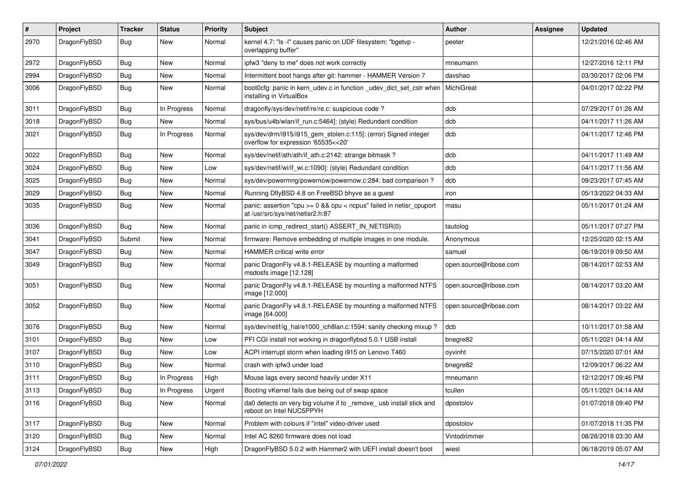| #    | Project      | <b>Tracker</b> | <b>Status</b> | <b>Priority</b> | Subject                                                                                                 | Author                 | Assignee | <b>Updated</b>      |
|------|--------------|----------------|---------------|-----------------|---------------------------------------------------------------------------------------------------------|------------------------|----------|---------------------|
| 2970 | DragonFlyBSD | Bug            | <b>New</b>    | Normal          | kernel 4.7: "Is -I" causes panic on UDF filesystem: "bgetvp -<br>overlapping buffer"                    | peeter                 |          | 12/21/2016 02:46 AM |
| 2972 | DragonFlyBSD | <b>Bug</b>     | <b>New</b>    | Normal          | ipfw3 "deny to me" does not work correctly                                                              | mneumann               |          | 12/27/2016 12:11 PM |
| 2994 | DragonFlyBSD | <b>Bug</b>     | New           | Normal          | Intermittent boot hangs after git: hammer - HAMMER Version 7                                            | davshao                |          | 03/30/2017 02:06 PM |
| 3006 | DragonFlyBSD | Bug            | <b>New</b>    | Normal          | boot0cfg: panic in kern_udev.c in function _udev_dict_set_cstr when<br>installing in VirtualBox         | MichiGreat             |          | 04/01/2017 02:22 PM |
| 3011 | DragonFlyBSD | <b>Bug</b>     | In Progress   | Normal          | dragonfly/sys/dev/netif/re/re.c: suspicious code?                                                       | dcb                    |          | 07/29/2017 01:26 AM |
| 3018 | DragonFlyBSD | <b>Bug</b>     | New           | Normal          | sys/bus/u4b/wlan/if_run.c:5464]: (style) Redundant condition                                            | dcb                    |          | 04/11/2017 11:26 AM |
| 3021 | DragonFlyBSD | <b>Bug</b>     | In Progress   | Normal          | sys/dev/drm/i915/i915_gem_stolen.c:115]: (error) Signed integer<br>overflow for expression '65535<<20'  | dcb                    |          | 04/11/2017 12:46 PM |
| 3022 | DragonFlyBSD | <b>Bug</b>     | <b>New</b>    | Normal          | sys/dev/netif/ath/ath/if ath.c:2142: strange bitmask?                                                   | dcb                    |          | 04/11/2017 11:49 AM |
| 3024 | DragonFlyBSD | <b>Bug</b>     | New           | Low             | sys/dev/netif/wi/if wi.c:1090]: (style) Redundant condition                                             | dcb                    |          | 04/11/2017 11:56 AM |
| 3025 | DragonFlyBSD | <b>Bug</b>     | <b>New</b>    | Normal          | sys/dev/powermng/powernow/powernow.c:284: bad comparison?                                               | dcb                    |          | 09/23/2017 07:45 AM |
| 3029 | DragonFlyBSD | <b>Bug</b>     | <b>New</b>    | Normal          | Running DflyBSD 4.8 on FreeBSD bhyve as a guest                                                         | iron                   |          | 05/13/2022 04:33 AM |
| 3035 | DragonFlyBSD | Bug            | <b>New</b>    | Normal          | panic: assertion "cpu >= 0 && cpu < ncpus" failed in netisr_cpuport<br>at /usr/src/sys/net/netisr2.h:87 | masu                   |          | 05/11/2017 01:24 AM |
| 3036 | DragonFlyBSD | Bug            | <b>New</b>    | Normal          | panic in icmp_redirect_start() ASSERT_IN_NETISR(0)                                                      | tautolog               |          | 05/11/2017 07:27 PM |
| 3041 | DragonFlyBSD | Submit         | <b>New</b>    | Normal          | firmware: Remove embedding of multiple images in one module.                                            | Anonymous              |          | 12/25/2020 02:15 AM |
| 3047 | DragonFlyBSD | Bug            | New           | Normal          | HAMMER critical write error                                                                             | samuel                 |          | 06/19/2019 09:50 AM |
| 3049 | DragonFlyBSD | Bug            | <b>New</b>    | Normal          | panic DragonFly v4.8.1-RELEASE by mounting a malformed<br>msdosfs image [12.128]                        | open.source@ribose.com |          | 08/14/2017 02:53 AM |
| 3051 | DragonFlyBSD | Bug            | <b>New</b>    | Normal          | panic DragonFly v4.8.1-RELEASE by mounting a malformed NTFS<br>image [12.000]                           | open.source@ribose.com |          | 08/14/2017 03:20 AM |
| 3052 | DragonFlyBSD | Bug            | <b>New</b>    | Normal          | panic DragonFly v4.8.1-RELEASE by mounting a malformed NTFS<br>image [64.000]                           | open.source@ribose.com |          | 08/14/2017 03:22 AM |
| 3076 | DragonFlyBSD | Bug            | <b>New</b>    | Normal          | sys/dev/netif/ig_hal/e1000_ich8lan.c:1594: sanity checking mixup?                                       | dcb                    |          | 10/11/2017 01:58 AM |
| 3101 | DragonFlyBSD | <b>Bug</b>     | New           | Low             | PFI CGI install not working in dragonflybsd 5.0.1 USB install                                           | bnegre82               |          | 05/11/2021 04:14 AM |
| 3107 | DragonFlyBSD | <b>Bug</b>     | New           | Low             | ACPI interrupt storm when loading i915 on Lenovo T460                                                   | oyvinht                |          | 07/15/2020 07:01 AM |
| 3110 | DragonFlyBSD | <b>Bug</b>     | <b>New</b>    | Normal          | crash with ipfw3 under load                                                                             | bnegre82               |          | 12/09/2017 06:22 AM |
| 3111 | DragonFlyBSD | Bug            | In Progress   | High            | Mouse lags every second heavily under X11                                                               | mneumann               |          | 12/12/2017 09:46 PM |
| 3113 | DragonFlyBSD | Bug            | In Progress   | Urgent          | Booting vKernel fails due being out of swap space                                                       | tcullen                |          | 05/11/2021 04:14 AM |
| 3116 | DragonFlyBSD | <b>Bug</b>     | New           | Normal          | da0 detects on very big volume if to _remove_ usb install stick and<br>reboot on Intel NUC5PPYH         | dpostolov              |          | 01/07/2018 09:40 PM |
| 3117 | DragonFlyBSD | <b>Bug</b>     | New           | Normal          | Problem with colours if "intel" video-driver used                                                       | dpostolov              |          | 01/07/2018 11:35 PM |
| 3120 | DragonFlyBSD | <b>Bug</b>     | New           | Normal          | Intel AC 8260 firmware does not load                                                                    | Vintodrimmer           |          | 08/28/2018 03:30 AM |
| 3124 | DragonFlyBSD | <b>Bug</b>     | New           | High            | DragonFlyBSD 5.0.2 with Hammer2 with UEFI install doesn't boot                                          | wiesl                  |          | 06/18/2019 05:07 AM |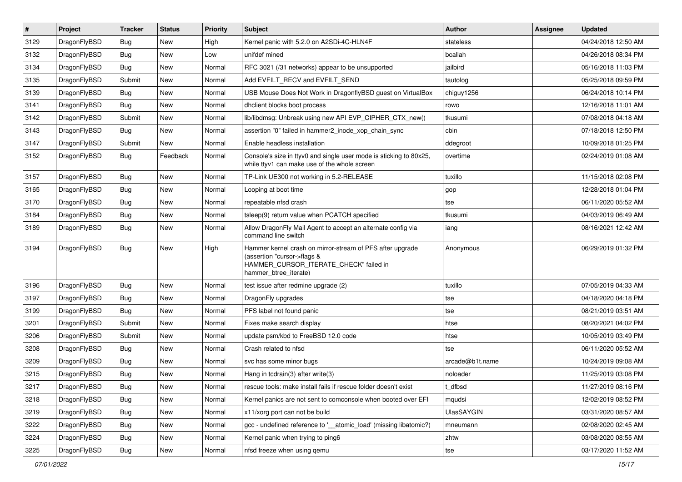| $\sharp$ | Project      | <b>Tracker</b> | <b>Status</b> | <b>Priority</b> | Subject                                                                                                                                                     | <b>Author</b>   | Assignee | <b>Updated</b>      |
|----------|--------------|----------------|---------------|-----------------|-------------------------------------------------------------------------------------------------------------------------------------------------------------|-----------------|----------|---------------------|
| 3129     | DragonFlyBSD | Bug            | New           | High            | Kernel panic with 5.2.0 on A2SDi-4C-HLN4F                                                                                                                   | stateless       |          | 04/24/2018 12:50 AM |
| 3132     | DragonFlyBSD | Bug            | <b>New</b>    | Low             | unifdef mined                                                                                                                                               | bcallah         |          | 04/26/2018 08:34 PM |
| 3134     | DragonFlyBSD | <b>Bug</b>     | New           | Normal          | RFC 3021 (/31 networks) appear to be unsupported                                                                                                            | jailbird        |          | 05/16/2018 11:03 PM |
| 3135     | DragonFlyBSD | Submit         | New           | Normal          | Add EVFILT RECV and EVFILT SEND                                                                                                                             | tautolog        |          | 05/25/2018 09:59 PM |
| 3139     | DragonFlyBSD | Bug            | <b>New</b>    | Normal          | USB Mouse Does Not Work in DragonflyBSD guest on VirtualBox                                                                                                 | chiguy1256      |          | 06/24/2018 10:14 PM |
| 3141     | DragonFlyBSD | Bug            | <b>New</b>    | Normal          | dhclient blocks boot process                                                                                                                                | rowo            |          | 12/16/2018 11:01 AM |
| 3142     | DragonFlyBSD | Submit         | New           | Normal          | lib/libdmsg: Unbreak using new API EVP CIPHER CTX new()                                                                                                     | tkusumi         |          | 07/08/2018 04:18 AM |
| 3143     | DragonFlyBSD | Bug            | New           | Normal          | assertion "0" failed in hammer2_inode_xop_chain_sync                                                                                                        | cbin            |          | 07/18/2018 12:50 PM |
| 3147     | DragonFlyBSD | Submit         | New           | Normal          | Enable headless installation                                                                                                                                | ddegroot        |          | 10/09/2018 01:25 PM |
| 3152     | DragonFlyBSD | <b>Bug</b>     | Feedback      | Normal          | Console's size in ttyv0 and single user mode is sticking to 80x25,<br>while ttyv1 can make use of the whole screen                                          | overtime        |          | 02/24/2019 01:08 AM |
| 3157     | DragonFlyBSD | Bug            | New           | Normal          | TP-Link UE300 not working in 5.2-RELEASE                                                                                                                    | tuxillo         |          | 11/15/2018 02:08 PM |
| 3165     | DragonFlyBSD | Bug            | <b>New</b>    | Normal          | Looping at boot time                                                                                                                                        | gop             |          | 12/28/2018 01:04 PM |
| 3170     | DragonFlyBSD | <b>Bug</b>     | New           | Normal          | repeatable nfsd crash                                                                                                                                       | tse             |          | 06/11/2020 05:52 AM |
| 3184     | DragonFlyBSD | Bug            | New           | Normal          | tsleep(9) return value when PCATCH specified                                                                                                                | tkusumi         |          | 04/03/2019 06:49 AM |
| 3189     | DragonFlyBSD | <b>Bug</b>     | <b>New</b>    | Normal          | Allow DragonFly Mail Agent to accept an alternate config via<br>command line switch                                                                         | iang            |          | 08/16/2021 12:42 AM |
| 3194     | DragonFlyBSD | <b>Bug</b>     | New           | High            | Hammer kernel crash on mirror-stream of PFS after upgrade<br>(assertion "cursor->flags &<br>HAMMER_CURSOR_ITERATE_CHECK" failed in<br>hammer_btree_iterate) | Anonymous       |          | 06/29/2019 01:32 PM |
| 3196     | DragonFlyBSD | Bug            | New           | Normal          | test issue after redmine upgrade (2)                                                                                                                        | tuxillo         |          | 07/05/2019 04:33 AM |
| 3197     | DragonFlyBSD | Bug            | New           | Normal          | DragonFly upgrades                                                                                                                                          | tse             |          | 04/18/2020 04:18 PM |
| 3199     | DragonFlyBSD | Bug            | New           | Normal          | PFS label not found panic                                                                                                                                   | tse             |          | 08/21/2019 03:51 AM |
| 3201     | DragonFlyBSD | Submit         | <b>New</b>    | Normal          | Fixes make search display                                                                                                                                   | htse            |          | 08/20/2021 04:02 PM |
| 3206     | DragonFlyBSD | Submit         | New           | Normal          | update psm/kbd to FreeBSD 12.0 code                                                                                                                         | htse            |          | 10/05/2019 03:49 PM |
| 3208     | DragonFlyBSD | Bug            | New           | Normal          | Crash related to nfsd                                                                                                                                       | tse             |          | 06/11/2020 05:52 AM |
| 3209     | DragonFlyBSD | Bug            | New           | Normal          | svc has some minor bugs                                                                                                                                     | arcade@b1t.name |          | 10/24/2019 09:08 AM |
| 3215     | DragonFlyBSD | Bug            | <b>New</b>    | Normal          | Hang in tcdrain(3) after write(3)                                                                                                                           | noloader        |          | 11/25/2019 03:08 PM |
| 3217     | DragonFlyBSD | <b>Bug</b>     | <b>New</b>    | Normal          | rescue tools: make install fails if rescue folder doesn't exist                                                                                             | t_dfbsd         |          | 11/27/2019 08:16 PM |
| 3218     | DragonFlyBSD | <b>Bug</b>     | <b>New</b>    | Normal          | Kernel panics are not sent to comconsole when booted over EFI                                                                                               | mqudsi          |          | 12/02/2019 08:52 PM |
| 3219     | DragonFlyBSD | <b>Bug</b>     | New           | Normal          | x11/xorg port can not be build                                                                                                                              | UlasSAYGIN      |          | 03/31/2020 08:57 AM |
| 3222     | DragonFlyBSD | <b>Bug</b>     | New           | Normal          | gcc - undefined reference to '__atomic_load' (missing libatomic?)                                                                                           | mneumann        |          | 02/08/2020 02:45 AM |
| 3224     | DragonFlyBSD | <b>Bug</b>     | New           | Normal          | Kernel panic when trying to ping6                                                                                                                           | zhtw            |          | 03/08/2020 08:55 AM |
| 3225     | DragonFlyBSD | <b>Bug</b>     | New           | Normal          | nfsd freeze when using gemu                                                                                                                                 | tse             |          | 03/17/2020 11:52 AM |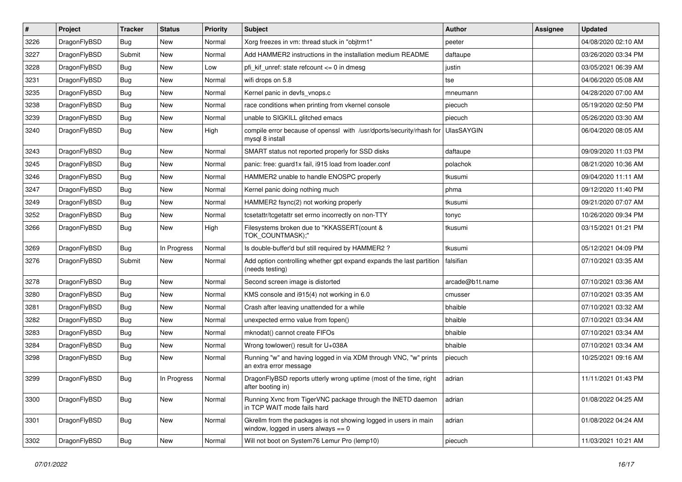| $\sharp$ | Project      | <b>Tracker</b> | <b>Status</b> | <b>Priority</b> | Subject                                                                                                   | <b>Author</b>     | Assignee | <b>Updated</b>      |
|----------|--------------|----------------|---------------|-----------------|-----------------------------------------------------------------------------------------------------------|-------------------|----------|---------------------|
| 3226     | DragonFlyBSD | Bug            | <b>New</b>    | Normal          | Xorg freezes in vm: thread stuck in "objtrm1"                                                             | peeter            |          | 04/08/2020 02:10 AM |
| 3227     | DragonFlyBSD | Submit         | New           | Normal          | Add HAMMER2 instructions in the installation medium README                                                | daftaupe          |          | 03/26/2020 03:34 PM |
| 3228     | DragonFlyBSD | Bug            | New           | Low             | pfi kif unref: state refcount $\leq$ 0 in dmesg                                                           | justin            |          | 03/05/2021 06:39 AM |
| 3231     | DragonFlyBSD | Bug            | New           | Normal          | wifi drops on 5.8                                                                                         | tse               |          | 04/06/2020 05:08 AM |
| 3235     | DragonFlyBSD | Bug            | <b>New</b>    | Normal          | Kernel panic in devfs vnops.c                                                                             | mneumann          |          | 04/28/2020 07:00 AM |
| 3238     | DragonFlyBSD | Bug            | <b>New</b>    | Normal          | race conditions when printing from vkernel console                                                        | piecuch           |          | 05/19/2020 02:50 PM |
| 3239     | DragonFlyBSD | Bug            | New           | Normal          | unable to SIGKILL glitched emacs                                                                          | piecuch           |          | 05/26/2020 03:30 AM |
| 3240     | DragonFlyBSD | Bug            | <b>New</b>    | High            | compile error because of openssl with /usr/dports/security/rhash for<br>mysql 8 install                   | <b>UlasSAYGIN</b> |          | 06/04/2020 08:05 AM |
| 3243     | DragonFlyBSD | Bug            | <b>New</b>    | Normal          | SMART status not reported properly for SSD disks                                                          | daftaupe          |          | 09/09/2020 11:03 PM |
| 3245     | DragonFlyBSD | Bug            | New           | Normal          | panic: free: guard1x fail, i915 load from loader.conf                                                     | polachok          |          | 08/21/2020 10:36 AM |
| 3246     | DragonFlyBSD | Bug            | New           | Normal          | HAMMER2 unable to handle ENOSPC properly                                                                  | tkusumi           |          | 09/04/2020 11:11 AM |
| 3247     | DragonFlyBSD | Bug            | New           | Normal          | Kernel panic doing nothing much                                                                           | phma              |          | 09/12/2020 11:40 PM |
| 3249     | DragonFlyBSD | Bug            | <b>New</b>    | Normal          | HAMMER2 fsync(2) not working properly                                                                     | tkusumi           |          | 09/21/2020 07:07 AM |
| 3252     | DragonFlyBSD | Bug            | New           | Normal          | tcsetattr/tcgetattr set errno incorrectly on non-TTY                                                      | tonyc             |          | 10/26/2020 09:34 PM |
| 3266     | DragonFlyBSD | Bug            | <b>New</b>    | High            | Filesystems broken due to "KKASSERT(count &<br>TOK_COUNTMASK);"                                           | tkusumi           |          | 03/15/2021 01:21 PM |
| 3269     | DragonFlyBSD | <b>Bug</b>     | In Progress   | Normal          | Is double-buffer'd buf still required by HAMMER2 ?                                                        | tkusumi           |          | 05/12/2021 04:09 PM |
| 3276     | DragonFlyBSD | Submit         | New           | Normal          | Add option controlling whether gpt expand expands the last partition<br>(needs testing)                   | falsifian         |          | 07/10/2021 03:35 AM |
| 3278     | DragonFlyBSD | Bug            | <b>New</b>    | Normal          | Second screen image is distorted                                                                          | arcade@b1t.name   |          | 07/10/2021 03:36 AM |
| 3280     | DragonFlyBSD | Bug            | <b>New</b>    | Normal          | KMS console and i915(4) not working in 6.0                                                                | cmusser           |          | 07/10/2021 03:35 AM |
| 3281     | DragonFlyBSD | Bug            | <b>New</b>    | Normal          | Crash after leaving unattended for a while                                                                | bhaible           |          | 07/10/2021 03:32 AM |
| 3282     | DragonFlyBSD | <b>Bug</b>     | <b>New</b>    | Normal          | unexpected errno value from fopen()                                                                       | bhaible           |          | 07/10/2021 03:34 AM |
| 3283     | DragonFlyBSD | <b>Bug</b>     | New           | Normal          | mknodat() cannot create FIFOs                                                                             | bhaible           |          | 07/10/2021 03:34 AM |
| 3284     | DragonFlyBSD | Bug            | New           | Normal          | Wrong towlower() result for U+038A                                                                        | bhaible           |          | 07/10/2021 03:34 AM |
| 3298     | DragonFlyBSD | <b>Bug</b>     | New           | Normal          | Running "w" and having logged in via XDM through VNC, "w" prints<br>an extra error message                | piecuch           |          | 10/25/2021 09:16 AM |
| 3299     | DragonFlyBSD | Bug            | In Progress   | Normal          | DragonFlyBSD reports utterly wrong uptime (most of the time, right<br>after booting in)                   | adrian            |          | 11/11/2021 01:43 PM |
| 3300     | DragonFlyBSD | <b>Bug</b>     | New           | Normal          | Running Xvnc from TigerVNC package through the INETD daemon<br>in TCP WAIT mode fails hard                | adrian            |          | 01/08/2022 04:25 AM |
| 3301     | DragonFlyBSD | <b>Bug</b>     | <b>New</b>    | Normal          | Gkrellm from the packages is not showing logged in users in main<br>window, logged in users always $== 0$ | adrian            |          | 01/08/2022 04:24 AM |
| 3302     | DragonFlyBSD | <b>Bug</b>     | New           | Normal          | Will not boot on System76 Lemur Pro (lemp10)                                                              | piecuch           |          | 11/03/2021 10:21 AM |